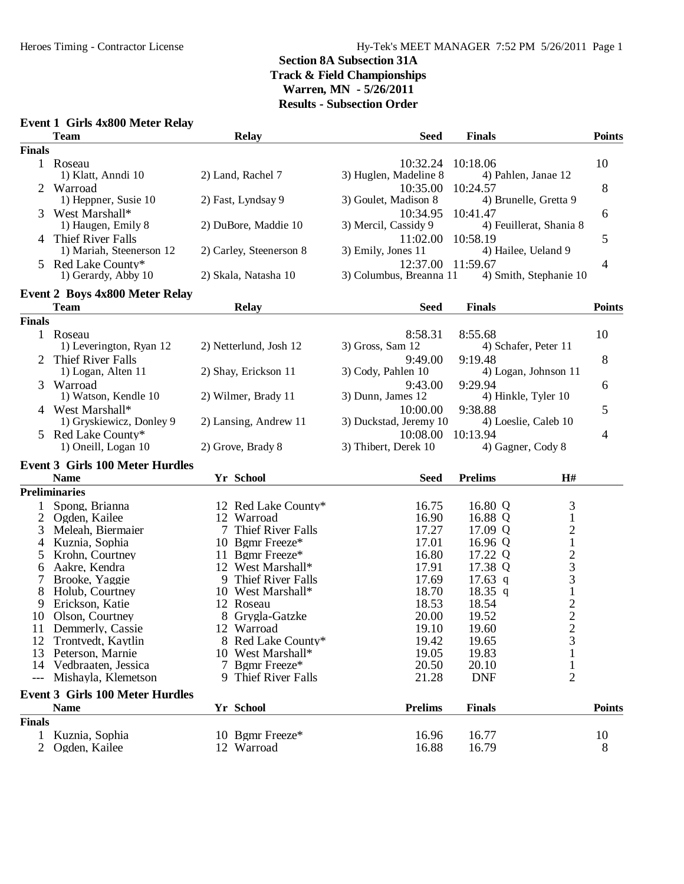| Event 1 Girls 4x800 Meter Relay |  |  |  |  |
|---------------------------------|--|--|--|--|
|---------------------------------|--|--|--|--|

|               | <b>Team</b>                                     | <b>Relay</b>            | <b>Seed</b>                       | <b>Finals</b>                               | <b>Points</b> |
|---------------|-------------------------------------------------|-------------------------|-----------------------------------|---------------------------------------------|---------------|
| <b>Finals</b> |                                                 |                         |                                   |                                             |               |
|               | 1 Roseau<br>1) Klatt, Anndi 10                  | 2) Land, Rachel 7       | 10:32.24<br>3) Huglen, Madeline 8 | 10:18.06<br>4) Pahlen, Janae 12             | 10            |
| 2             | Warroad<br>1) Heppner, Susie 10                 | 2) Fast, Lyndsay 9      | 10:35.00<br>3) Goulet, Madison 8  | 10:24.57<br>4) Brunelle, Gretta 9           | 8             |
| 3             | West Marshall*<br>1) Haugen, Emily 8            | 2) DuBore, Maddie 10    | 10:34.95<br>3) Mercil, Cassidy 9  | 10:41.47<br>4) Feuillerat, Shania 8         | 6             |
|               | 4 Thief River Falls<br>1) Mariah, Steenerson 12 | 2) Carley, Steenerson 8 | 11:02.00<br>3) Emily, Jones 11    | 10:58.19<br>4) Hailee, Ueland 9             | 5             |
|               | 5 Red Lake County*<br>1) Gerardy, Abby 10       | 2) Skala, Natasha 10    | 3) Columbus, Breanna 11           | 12:37.00 11:59.67<br>4) Smith, Stephanie 10 | 4             |
|               | Event 2 Boys 4x800 Meter Relay                  |                         |                                   |                                             |               |
|               | <b>Team</b>                                     | <b>Relay</b>            | <b>Seed</b>                       | <b>Finals</b>                               | <b>Points</b> |
| <b>Finals</b> |                                                 |                         |                                   |                                             |               |
|               | 1 Roseau                                        |                         | 8:58.31                           | 8:55.68                                     | 10            |
|               | 1) Leverington, Ryan 12                         | 2) Netterlund, Josh 12  | 3) Gross, Sam 12                  | 4) Schafer, Peter 11                        |               |
|               | <b>Thief River Falls</b>                        |                         | 9:49.00                           | 9:19.48                                     | 8             |
|               | 1) Logan, Alten 11                              | 2) Shay, Erickson 11    | 3) Cody, Pahlen 10                | 4) Logan, Johnson 11                        |               |
| 3             | Warroad                                         |                         | 9:43.00                           | 9:29.94                                     | 6             |
|               | 1) Watson, Kendle 10                            | 2) Wilmer, Brady 11     | 3) Dunn, James 12                 | 4) Hinkle, Tyler 10                         |               |
|               | 4 West Marshall*                                |                         | 10:00.00                          | 9:38.88                                     | 5             |
|               | 1) Gryskiewicz, Donley 9                        | 2) Lansing, Andrew 11   | 3) Duckstad, Jeremy 10            | 4) Loeslie, Caleb 10                        |               |
|               | 5 Red Lake County*                              |                         | 10:08.00                          | 10:13.94                                    | 4             |
|               | 1) Oneill, Logan 10                             | 2) Grove, Brady 8       | 3) Thibert, Derek 10              | 4) Gagner, Cody 8                           |               |
|               | <b>Event 3 Girls 100 Meter Hurdles</b>          |                         |                                   |                                             |               |
|               | <b>Name</b>                                     | Yr School               | <b>Seed</b>                       | <b>Prelims</b><br>H#                        |               |
|               | <b>Preliminaries</b>                            |                         |                                   |                                             |               |
|               | Spong, Brianna                                  | 12 Red Lake County*     | 16.75                             | 3<br>16.80 Q                                |               |
| 2             | Ogden, Kailee                                   | 12 Warroad              | 16.90                             | $\mathbf{1}$<br>16.88 Q                     |               |
| 3             | Meleah, Biermaier                               | Thief River Falls<br>7  | 17.27                             | $\overline{\mathbf{c}}$<br>17.09 Q          |               |
| 4             | Kuznia, Sophia                                  | 10 Bgmr Freeze*         | 17.01                             | $\mathbf{1}$<br>16.96 Q                     |               |
| 5             | Krohn, Courtney                                 | 11 Bgmr Freeze*         | 16.80                             | $\frac{2}{3}$<br>17.22 Q                    |               |
| 6             | Aakre, Kendra                                   | 12 West Marshall*       | 17.91                             | 17.38 Q                                     |               |
| 7             | Brooke, Yaggie                                  | 9 Thief River Falls     | 17.69                             | 3<br>$17.63$ q                              |               |
| 8             | Holub, Courtney                                 | 10 West Marshall*       | 18.70                             | $\,1$<br>18.35 q                            |               |
| 9             | Erickson, Katie                                 | 12 Roseau               | 18.53                             | 18.54                                       |               |
| 10            | Olson, Courtney                                 | 8 Grygla-Gatzke         | 20.00                             | $\frac{2}{2}$<br>19.52                      |               |
| 11            | Demmerly, Cassie                                | 12 Warroad              | 19.10                             | 19.60                                       |               |
| 12            | Trontvedt, Kaytlin                              | 8 Red Lake County*      | 19.42                             | 3<br>19.65                                  |               |
| 13            | Peterson, Marnie                                | 10 West Marshall*       | 19.05                             | 19.83                                       |               |
| 14            | Vedbraaten, Jessica                             | 7 Bgmr Freeze*          | 20.50                             | 20.10                                       |               |
| $---$         | Mishayla, Klemetson                             | 9 Thief River Falls     | 21.28                             | $\overline{2}$<br><b>DNF</b>                |               |
|               | <b>Event 3 Girls 100 Meter Hurdles</b>          |                         |                                   |                                             |               |
|               | <b>Name</b>                                     | Yr School               | <b>Prelims</b>                    | <b>Finals</b>                               | <b>Points</b> |
| <b>Finals</b> |                                                 |                         |                                   |                                             |               |
|               | Kuznia, Sophia                                  | 10 Bgmr Freeze*         | 16.96                             | 16.77                                       | 10            |
| 2             | Ogden, Kailee                                   | 12 Warroad              | 16.88                             | 16.79                                       | 8             |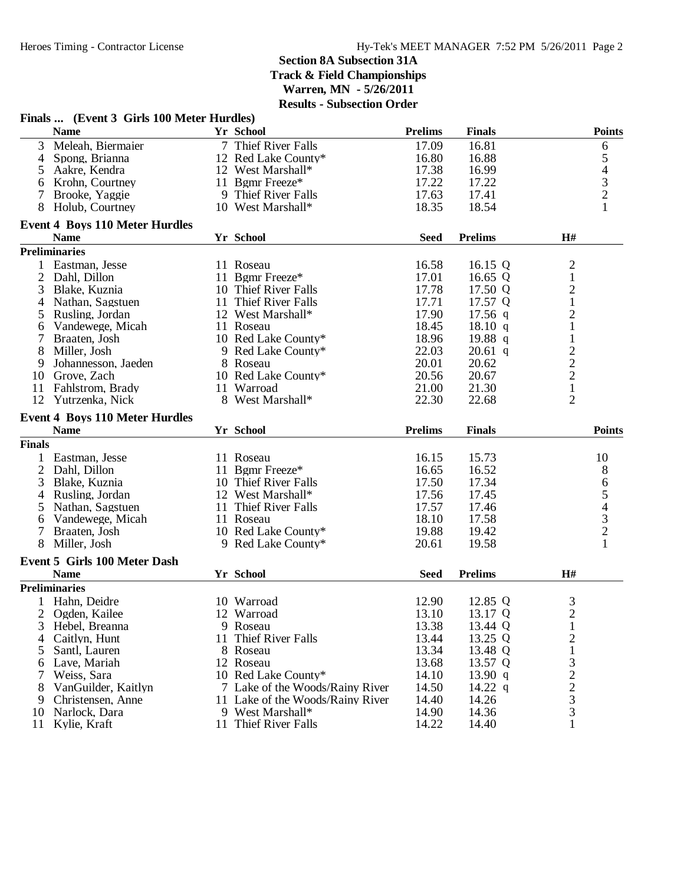|                | Finals  (Event 3 Girls 100 Meter Hurdles) |                                  |                |                |                         |                          |
|----------------|-------------------------------------------|----------------------------------|----------------|----------------|-------------------------|--------------------------|
|                | <b>Name</b>                               | Yr School                        | <b>Prelims</b> | <b>Finals</b>  |                         | <b>Points</b>            |
| 3              | Meleah, Biermaier                         | 7 Thief River Falls              | 17.09          | 16.81          |                         | 6                        |
| 4              | Spong, Brianna                            | 12 Red Lake County*              | 16.80          | 16.88          |                         | 5                        |
| 5              | Aakre, Kendra                             | 12 West Marshall*                | 17.38          | 16.99          |                         | $\overline{\mathcal{L}}$ |
| 6              | Krohn, Courtney                           | 11 Bgmr Freeze*                  | 17.22          | 17.22          |                         |                          |
| 7              | Brooke, Yaggie                            | 9 Thief River Falls              | 17.63          | 17.41          |                         | $\frac{3}{2}$            |
| 8              | Holub, Courtney                           | 10 West Marshall*                | 18.35          | 18.54          |                         | $\mathbf{1}$             |
|                | <b>Event 4 Boys 110 Meter Hurdles</b>     |                                  |                |                |                         |                          |
|                | <b>Name</b>                               | Yr School                        | <b>Seed</b>    | <b>Prelims</b> | H#                      |                          |
|                | <b>Preliminaries</b>                      |                                  |                |                |                         |                          |
| $\mathbf{1}$   | Eastman, Jesse                            | 11 Roseau                        | 16.58          | 16.15 Q        | $\overline{\mathbf{c}}$ |                          |
|                | 2 Dahl, Dillon                            | 11 Bgmr Freeze*                  | 17.01          | 16.65 $Q$      | $\mathbf 1$             |                          |
| 3              | Blake, Kuznia                             | 10 Thief River Falls             | 17.78          | 17.50 Q        | $\overline{c}$          |                          |
| 4              | Nathan, Sagstuen                          | 11 Thief River Falls             | 17.71          | 17.57 Q        | $\mathbf{1}$            |                          |
| 5              | Rusling, Jordan                           | 12 West Marshall*                | 17.90          | $17.56$ q      | $\overline{c}$          |                          |
| 6              | Vandewege, Micah                          | 11 Roseau                        | 18.45          | 18.10 q        | $\mathbf{1}$            |                          |
| $\tau$         | Braaten, Josh                             | 10 Red Lake County*              | 18.96          | 19.88 $q$      | $\mathbf{1}$            |                          |
| 8              | Miller, Josh                              | 9 Red Lake County*               | 22.03          | $20.61$ q      |                         |                          |
| 9              | Johannesson, Jaeden                       | 8 Roseau                         | 20.01          | 20.62          | $\frac{2}{2}$           |                          |
| 10             | Grove, Zach                               | 10 Red Lake County*              | 20.56          | 20.67          |                         |                          |
| 11             | Fahlstrom, Brady                          | 11 Warroad                       | 21.00          | 21.30          | $\frac{2}{1}$           |                          |
| 12             |                                           | 8 West Marshall*                 |                |                | $\overline{2}$          |                          |
|                | Yutrzenka, Nick                           |                                  | 22.30          | 22.68          |                         |                          |
|                | <b>Event 4 Boys 110 Meter Hurdles</b>     |                                  |                |                |                         |                          |
|                | <b>Name</b>                               | Yr School                        | <b>Prelims</b> | <b>Finals</b>  |                         | <b>Points</b>            |
| <b>Finals</b>  |                                           |                                  |                |                |                         |                          |
|                | 1 Eastman, Jesse                          | 11 Roseau                        | 16.15          | 15.73          |                         | 10                       |
| $\overline{2}$ | Dahl, Dillon                              | 11 Bgmr Freeze*                  | 16.65          | 16.52          |                         | 8                        |
| 3              | Blake, Kuznia                             | 10 Thief River Falls             | 17.50          | 17.34          |                         | 6                        |
|                | 4 Rusling, Jordan                         | 12 West Marshall*                | 17.56          | 17.45          |                         | 5                        |
| 5              | Nathan, Sagstuen                          | 11 Thief River Falls             | 17.57          | 17.46          |                         | $\overline{\mathcal{L}}$ |
| 6              | Vandewege, Micah                          | 11 Roseau                        | 18.10          | 17.58          |                         |                          |
| $\tau$         | Braaten, Josh                             | 10 Red Lake County*              | 19.88          | 19.42          |                         | $\frac{3}{2}$            |
| 8              | Miller, Josh                              | 9 Red Lake County*               | 20.61          | 19.58          |                         | 1                        |
|                | <b>Event 5 Girls 100 Meter Dash</b>       |                                  |                |                |                         |                          |
|                | <b>Name</b>                               | Yr School                        | <b>Seed</b>    | <b>Prelims</b> | H#                      |                          |
|                | <b>Preliminaries</b>                      |                                  |                |                |                         |                          |
|                | 1 Hahn, Deidre                            | 10 Warroad                       | 12.90          | 12.85 Q        | 3                       |                          |
|                | 2 Ogden, Kailee                           | 12 Warroad                       | 13.10          | 13.17 Q        | $\overline{c}$          |                          |
| 3              | Hebel, Breanna                            | 9 Roseau                         | 13.38          | 13.44 Q        | $\mathbf{1}$            |                          |
| 4              | Caitlyn, Hunt                             | 11 Thief River Falls             | 13.44          | 13.25 Q        | $\overline{c}$          |                          |
| 5              | Santl, Lauren                             | 8 Roseau                         | 13.34          | 13.48 Q        | 1                       |                          |
| 6              | Lave, Mariah                              | 12 Roseau                        | 13.68          | 13.57 Q        | 3                       |                          |
| 7              | Weiss, Sara                               | 10 Red Lake County*              | 14.10          | 13.90 q        |                         |                          |
| 8              | VanGuilder, Kaitlyn                       | 7 Lake of the Woods/Rainy River  | 14.50          | 14.22 $q$      | $\frac{2}{2}$           |                          |
| 9              | Christensen, Anne                         | 11 Lake of the Woods/Rainy River | 14.40          | 14.26          | 3                       |                          |
| 10             | Narlock, Dara                             | 9 West Marshall*                 | 14.90          | 14.36          | 3                       |                          |
|                |                                           |                                  |                |                |                         |                          |
| 11             | Kylie, Kraft                              | 11 Thief River Falls             | 14.22          | 14.40          | 1                       |                          |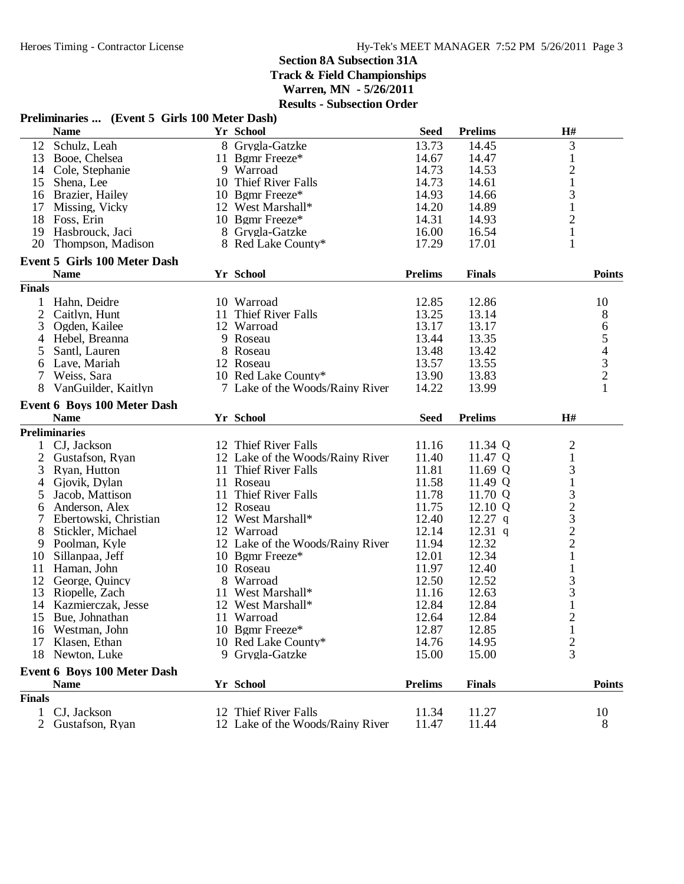### **Preliminaries ... (Event 5 Girls 100 Meter Dash)**

|                | <b>Name</b>                         |    | Yr School                        | <b>Seed</b>    | <b>Prelims</b> | H#                                             |
|----------------|-------------------------------------|----|----------------------------------|----------------|----------------|------------------------------------------------|
| 12             | Schulz, Leah                        |    | 8 Grygla-Gatzke                  | 13.73          | 14.45          | 3                                              |
| 13             | Booe, Chelsea                       |    | 11 Bgmr Freeze*                  | 14.67          | 14.47          | $\mathbf{1}$                                   |
| 14             | Cole, Stephanie                     |    | 9 Warroad                        | 14.73          | 14.53          | $\sqrt{2}$                                     |
| 15             | Shena, Lee                          |    | 10 Thief River Falls             | 14.73          | 14.61          | $\mathbf{1}$                                   |
|                | 16 Brazier, Hailey                  |    | 10 Bgmr Freeze*                  | 14.93          | 14.66          | 3                                              |
| 17             | Missing, Vicky                      |    | 12 West Marshall*                | 14.20          | 14.89          | $\mathbf{1}$                                   |
| 18             | Foss, Erin                          |    | 10 Bgmr Freeze*                  | 14.31          | 14.93          | $\overline{c}$                                 |
| 19             | Hasbrouck, Jaci                     |    | 8 Grygla-Gatzke                  | 16.00          | 16.54          | $\mathbf{1}$                                   |
| 20             | Thompson, Madison                   |    | 8 Red Lake County*               | 17.29          | 17.01          | $\mathbf{1}$                                   |
|                | <b>Event 5 Girls 100 Meter Dash</b> |    |                                  |                |                |                                                |
|                | <b>Name</b>                         |    | Yr School                        | <b>Prelims</b> | <b>Finals</b>  | <b>Points</b>                                  |
| <b>Finals</b>  |                                     |    |                                  |                |                |                                                |
| $\mathbf{1}$   | Hahn, Deidre                        |    | 10 Warroad                       | 12.85          | 12.86          | 10                                             |
| $\overline{2}$ | Caitlyn, Hunt                       | 11 | Thief River Falls                | 13.25          | 13.14          | 8                                              |
| 3              | Ogden, Kailee                       |    | 12 Warroad                       | 13.17          | 13.17          | 6                                              |
| 4              | Hebel, Breanna                      |    | 9 Roseau                         | 13.44          | 13.35          | $\mathfrak s$                                  |
| 5              | Santl, Lauren                       |    | 8 Roseau                         | 13.48          | 13.42          | $\overline{4}$                                 |
| 6              | Lave, Mariah                        |    | 12 Roseau                        | 13.57          | 13.55          |                                                |
| 7              | Weiss, Sara                         |    | 10 Red Lake County*              | 13.90          | 13.83          |                                                |
| 8              | VanGuilder, Kaitlyn                 |    | 7 Lake of the Woods/Rainy River  | 14.22          | 13.99          | $\begin{array}{c} 3 \\ 2 \\ 1 \end{array}$     |
|                |                                     |    |                                  |                |                |                                                |
|                | Event 6 Boys 100 Meter Dash         |    |                                  |                |                |                                                |
|                | <b>Name</b>                         |    | Yr School                        | <b>Seed</b>    | <b>Prelims</b> | H#                                             |
|                | <b>Preliminaries</b>                |    |                                  |                |                |                                                |
|                | CJ, Jackson                         |    | 12 Thief River Falls             | 11.16          | 11.34 Q        | $\overline{c}$                                 |
| 2              | Gustafson, Ryan                     |    | 12 Lake of the Woods/Rainy River | 11.40          | 11.47 Q        | $\mathbf 1$                                    |
| 3              | Ryan, Hutton                        |    | 11 Thief River Falls             | 11.81          | 11.69 Q        | 3                                              |
| 4              | Gjovik, Dylan                       |    | 11 Roseau                        | 11.58          | 11.49 Q        | $\mathbf{1}$                                   |
| 5              | Jacob, Mattison                     | 11 | Thief River Falls                | 11.78          | 11.70 Q        | 3                                              |
| 6              | Anderson, Alex                      |    | 12 Roseau                        | 11.75          | 12.10 Q        |                                                |
| 7              | Ebertowski, Christian               |    | 12 West Marshall*                | 12.40          | $12.27$ q      |                                                |
| 8              | Stickler, Michael                   |    | 12 Warroad                       | 12.14          | $12.31$ q      |                                                |
| 9              | Poolman, Kyle                       |    | 12 Lake of the Woods/Rainy River | 11.94          | 12.32          |                                                |
| 10             | Sillanpaa, Jeff                     |    | 10 Bgmr Freeze*                  | 12.01          | 12.34          | $\begin{array}{c}\n23 \\ 22 \\ 1\n\end{array}$ |
| 11             | Haman, John                         |    | 10 Roseau                        | 11.97          | 12.40          | $\mathbf{1}$                                   |
| 12             | George, Quincy                      |    | 8 Warroad                        | 12.50          | 12.52          | 3                                              |
| 13             | Riopelle, Zach                      |    | 11 West Marshall*                | 11.16          | 12.63          | 3                                              |
| 14             | Kazmierczak, Jesse                  |    | 12 West Marshall*                | 12.84          | 12.84          | $\,1\,$                                        |
| 15             | Bue, Johnathan                      |    | 11 Warroad                       | 12.64          | 12.84          | $\overline{2}$                                 |
|                | 16 Westman, John                    |    | 10 Bgmr Freeze*                  | 12.87          | 12.85          | 1                                              |
| 17             | Klasen, Ethan                       |    | 10 Red Lake County*              | 14.76          | 14.95          | $\overline{c}$                                 |
|                | 18 Newton, Luke                     |    | 9 Grygla-Gatzke                  | 15.00          | 15.00          | $\overline{3}$                                 |
|                | <b>Event 6 Boys 100 Meter Dash</b>  |    |                                  |                |                |                                                |
|                | <b>Name</b>                         |    | Yr School                        | <b>Prelims</b> | <b>Finals</b>  | <b>Points</b>                                  |
| <b>Finals</b>  |                                     |    |                                  |                |                |                                                |
|                | 1 CJ, Jackson                       |    | 12 Thief River Falls             | 11.34          | 11.27          | 10                                             |
| $\overline{2}$ | Gustafson, Ryan                     |    | 12 Lake of the Woods/Rainy River | 11.47          | 11.44          | 8                                              |
|                |                                     |    |                                  |                |                |                                                |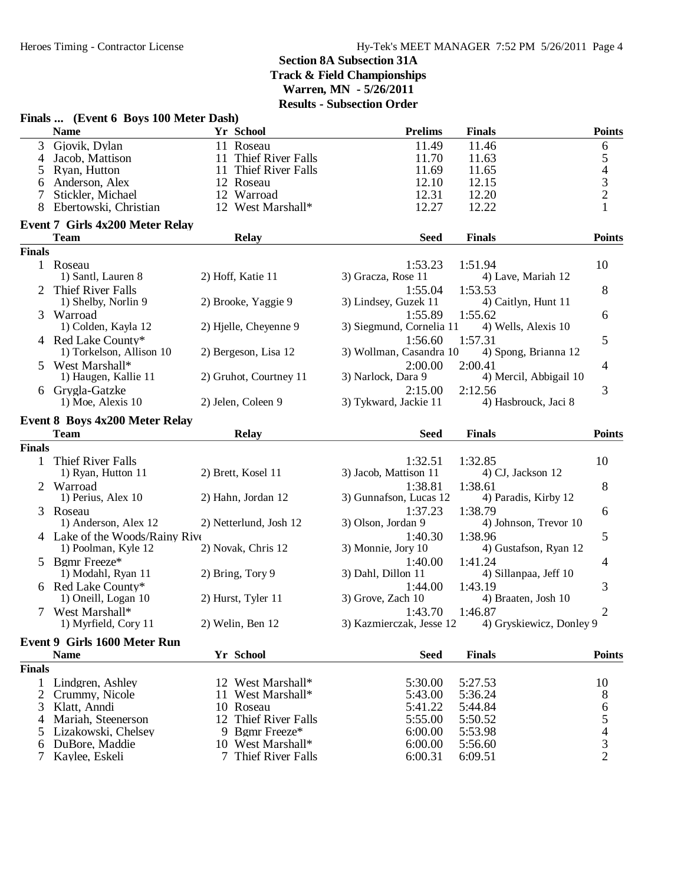|                | Finals  (Event 6 Boys 100 Meter Dash)                 |                        |                          |                          |                          |
|----------------|-------------------------------------------------------|------------------------|--------------------------|--------------------------|--------------------------|
|                | <b>Name</b>                                           | Yr School              | <b>Prelims</b>           | <b>Finals</b>            | <b>Points</b>            |
| 3              | Gjovik, Dylan                                         | 11 Roseau              | 11.49                    | 11.46                    | 6                        |
| 4              | Jacob, Mattison                                       | 11 Thief River Falls   | 11.70                    | 11.63                    | 5                        |
| 5              | Ryan, Hutton                                          | 11 Thief River Falls   | 11.69                    | 11.65                    | $\overline{\mathcal{L}}$ |
| 6              | Anderson, Alex                                        | 12 Roseau              | 12.10                    | 12.15                    | $\frac{3}{2}$            |
| 7              | Stickler, Michael                                     | 12 Warroad             | 12.31                    | 12.20                    |                          |
|                | Ebertowski, Christian                                 | 12 West Marshall*      | 12.27                    | 12.22                    | $\mathbf{1}$             |
|                | <b>Event 7 Girls 4x200 Meter Relay</b><br><b>Team</b> | <b>Relay</b>           | <b>Seed</b>              | <b>Finals</b>            | <b>Points</b>            |
| <b>Finals</b>  |                                                       |                        |                          |                          |                          |
|                | 1 Roseau                                              |                        | 1:53.23                  | 1:51.94                  | 10                       |
|                | 1) Santl, Lauren 8                                    | 2) Hoff, Katie 11      | 3) Gracza, Rose 11       | 4) Lave, Mariah 12       |                          |
|                | 2 Thief River Falls                                   |                        | 1:55.04                  | 1:53.53                  | 8                        |
|                | 1) Shelby, Norlin 9                                   | 2) Brooke, Yaggie 9    | 3) Lindsey, Guzek 11     | 4) Caitlyn, Hunt 11      |                          |
|                | 3 Warroad                                             |                        | 1:55.89                  | 1:55.62                  | 6                        |
|                | 1) Colden, Kayla 12                                   | 2) Hjelle, Cheyenne 9  | 3) Siegmund, Cornelia 11 | 4) Wells, Alexis 10      |                          |
|                | 4 Red Lake County*                                    |                        | 1:56.60                  | 1:57.31                  | 5                        |
|                | 1) Torkelson, Allison 10                              | 2) Bergeson, Lisa 12   | 3) Wollman, Casandra 10  | 4) Spong, Brianna 12     |                          |
|                | 5 West Marshall*                                      |                        | 2:00.00                  | 2:00.41                  | 4                        |
|                | 1) Haugen, Kallie 11                                  | 2) Gruhot, Courtney 11 | 3) Narlock, Dara 9       | 4) Mercil, Abbigail 10   |                          |
|                | 6 Grygla-Gatzke                                       |                        | 2:15.00                  | 2:12.56                  | 3                        |
|                | 1) Moe, Alexis 10                                     | 2) Jelen, Coleen 9     | 3) Tykward, Jackie 11    | 4) Hasbrouck, Jaci 8     |                          |
|                | <b>Event 8 Boys 4x200 Meter Relay</b>                 |                        |                          |                          |                          |
|                | <b>Team</b>                                           | <b>Relay</b>           | <b>Seed</b>              | <b>Finals</b>            | <b>Points</b>            |
| <b>Finals</b>  |                                                       |                        |                          |                          |                          |
|                | 1 Thief River Falls                                   |                        | 1:32.51                  | 1:32.85                  | 10                       |
|                | 1) Ryan, Hutton 11                                    | 2) Brett, Kosel 11     | 3) Jacob, Mattison 11    | 4) CJ, Jackson 12        |                          |
|                | 2 Warroad                                             |                        | 1:38.81                  | 1:38.61                  | 8                        |
|                | 1) Perius, Alex 10                                    | 2) Hahn, Jordan 12     | 3) Gunnafson, Lucas 12   | 4) Paradis, Kirby 12     |                          |
|                | 3 Roseau                                              |                        | 1:37.23                  | 1:38.79                  | 6                        |
|                | 1) Anderson, Alex 12                                  | 2) Netterlund, Josh 12 | 3) Olson, Jordan 9       | 4) Johnson, Trevor 10    |                          |
|                | 4 Lake of the Woods/Rainy Rive                        |                        | 1:40.30                  | 1:38.96                  | 5                        |
|                | 1) Poolman, Kyle 12                                   | 2) Novak, Chris 12     | 3) Monnie, Jory 10       | 4) Gustafson, Ryan 12    |                          |
|                | 5 Bgmr Freeze*                                        |                        | 1:40.00                  | 1:41.24                  | 4                        |
|                | 1) Modahl, Ryan 11                                    | 2) Bring, Tory 9       | 3) Dahl, Dillon 11       | 4) Sillanpaa, Jeff 10    |                          |
|                | 6 Red Lake County*                                    |                        | 1:44.00                  | 1:43.19                  | 3                        |
|                | 1) Oneill, Logan 10                                   | 2) Hurst, Tyler 11     | 3) Grove, Zach 10        | 4) Braaten, Josh 10      |                          |
|                | 7 West Marshall*                                      |                        |                          | 1:43.70 1:46.87          | $\overline{2}$           |
|                | 1) Myrfield, Cory 11                                  | 2) Welin, Ben 12       | 3) Kazmierczak, Jesse 12 | 4) Gryskiewicz, Donley 9 |                          |
|                | Event 9 Girls 1600 Meter Run                          |                        |                          |                          |                          |
|                | <b>Name</b>                                           | Yr School              | <b>Seed</b>              | <b>Finals</b>            | <b>Points</b>            |
| <b>Finals</b>  |                                                       |                        |                          |                          |                          |
|                | 1 Lindgren, Ashley                                    | 12 West Marshall*      | 5:30.00                  | 5:27.53                  | 10                       |
| $\overline{2}$ | Crummy, Nicole                                        | 11 West Marshall*      | 5:43.00                  | 5:36.24                  | 8                        |
| 3              | Klatt, Anndi                                          | 10 Roseau              | 5:41.22                  | 5:44.84                  | 6                        |
| 4              | Mariah, Steenerson                                    | 12 Thief River Falls   | 5:55.00                  | 5:50.52                  | 5                        |
| 5              | Lizakowski, Chelsey                                   | 9 Bgmr Freeze*         | 6:00.00                  | 5:53.98                  | $\overline{\mathcal{L}}$ |
| 6              | DuBore, Maddie                                        | 10 West Marshall*      | 6:00.00                  | 5:56.60                  | 3                        |
| 7              | Kaylee, Eskeli                                        | 7 Thief River Falls    | 6:00.31                  | 6:09.51                  | $\overline{2}$           |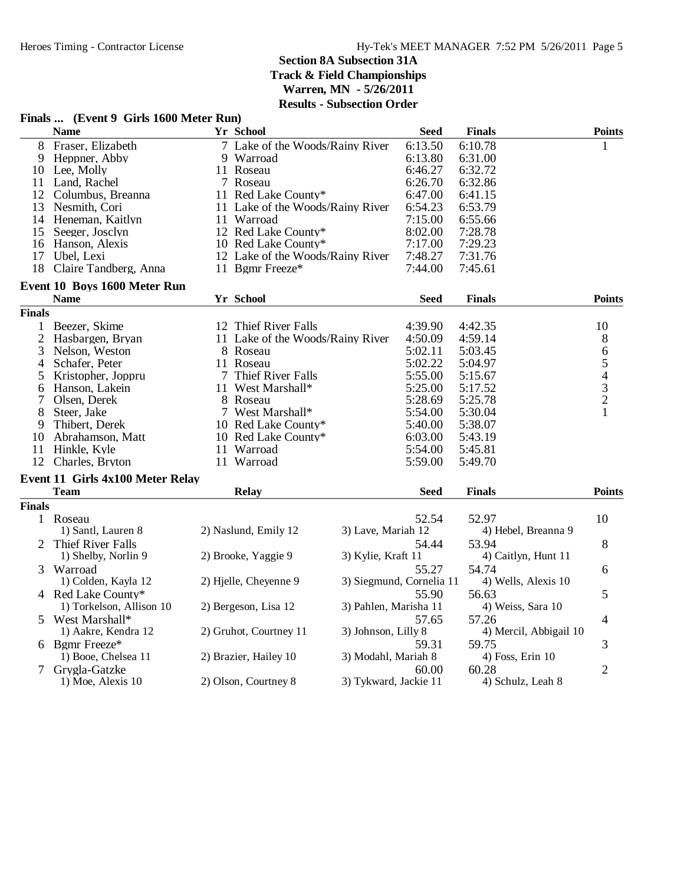| <b>Name</b><br>Yr School<br>Seed<br><b>Finals</b><br><b>Points</b><br>8<br>Fraser, Elizabeth<br>7 Lake of the Woods/Rainy River<br>6:13.50<br>6:10.78<br>1<br>6:13.80<br>9<br>Heppner, Abby<br>9 Warroad<br>6:31.00<br>10 Lee, Molly<br>6:46.27<br>6:32.72<br>11 Roseau<br>11 Land, Rachel<br>7 Roseau<br>6:26.70<br>6:32.86<br>12 Columbus, Breanna<br>6:47.00<br>11 Red Lake County*<br>6:41.15<br>13<br>Nesmith, Cori<br>11 Lake of the Woods/Rainy River<br>6:54.23<br>6:53.79<br>11 Warroad<br>7:15.00<br>6:55.66<br>14 Heneman, Kaitlyn<br>8:02.00<br>15<br>Seeger, Josclyn<br>12 Red Lake County*<br>7:28.78<br>7:17.00<br>7:29.23<br>16 Hanson, Alexis<br>10 Red Lake County*<br>17<br>Ubel, Lexi<br>12 Lake of the Woods/Rainy River<br>7:48.27<br>7:31.76<br>18<br>Claire Tandberg, Anna<br>11 Bgmr Freeze*<br>7:44.00<br>7:45.61<br>Event 10 Boys 1600 Meter Run<br>Yr School<br><b>Name</b><br><b>Seed</b><br><b>Finals</b><br><b>Points</b><br><b>Finals</b><br>Beezer, Skime<br>12 Thief River Falls<br>4:39.90<br>4:42.35<br>10<br>1<br>$\overline{2}$<br>11 Lake of the Woods/Rainy River<br>Hasbargen, Bryan<br>4:50.09<br>4:59.14<br>$8\,$<br>3<br>5:02.11<br>$\sqrt{6}$<br>Nelson, Weston<br>5:03.45<br>8 Roseau<br>5<br>Schafer, Peter<br>5:02.22<br>11 Roseau<br>5:04.97<br>4<br>5:55.00<br>$\overline{4}$<br>7 Thief River Falls<br>Kristopher, Joppru<br>5:15.67<br>5<br>3<br>11 West Marshall*<br>5:25.00<br>Hanson, Lakein<br>5:17.52<br>6<br>$\overline{c}$<br>7<br>Olsen, Derek<br>5:28.69<br>5:25.78<br>8 Roseau<br>Steer, Jake<br>7 West Marshall*<br>5:54.00<br>5:30.04<br>8<br>1<br>Thibert, Derek<br>10 Red Lake County*<br>5:40.00<br>5:38.07<br>9<br>Abrahamson, Matt<br>10 Red Lake County*<br>6:03.00<br>5:43.19<br>10<br>11<br>11 Warroad<br>5:54.00<br>Hinkle, Kyle<br>5:45.81<br>11 Warroad<br>5:59.00<br>5:49.70<br>12<br>Charles, Bryton<br>Event 11 Girls 4x100 Meter Relay<br><b>Team</b><br><b>Relay</b><br>Seed<br><b>Finals</b><br><b>Points</b><br><b>Finals</b><br>1 Roseau<br>52.54<br>52.97<br>10<br>1) Santl, Lauren 8<br>2) Naslund, Emily 12<br>3) Lave, Mariah 12<br>4) Hebel, Breanna 9<br><b>Thief River Falls</b><br>53.94<br>8<br>2<br>54.44<br>2) Brooke, Yaggie 9<br>3) Kylie, Kraft 11<br>4) Caitlyn, Hunt 11<br>1) Shelby, Norlin 9<br>Warroad<br>55.27<br>54.74<br>3<br>6<br>1) Colden, Kayla 12<br>2) Hjelle, Cheyenne 9<br>3) Siegmund, Cornelia 11<br>4) Wells, Alexis 10<br>4 Red Lake County*<br>55.90<br>56.63<br>5<br>3) Pahlen, Marisha 11<br>1) Torkelson, Allison 10<br>2) Bergeson, Lisa 12<br>4) Weiss, Sara 10<br>West Marshall*<br>57.65<br>57.26<br>4<br>5<br>2) Gruhot, Courtney 11<br>3) Johnson, Lilly 8<br>4) Mercil, Abbigail 10<br>1) Aakre, Kendra 12<br>Bgmr Freeze*<br>59.31<br>59.75<br>3<br>6<br>1) Booe, Chelsea 11<br>2) Brazier, Hailey 10<br>3) Modahl, Mariah 8<br>4) Foss, Erin 10<br>$\overline{2}$<br>Grygla-Gatzke<br>60.28<br>$\tau$<br>60.00<br>2) Olson, Courtney 8<br>3) Tykward, Jackie 11<br>1) Moe, Alexis 10<br>4) Schulz, Leah 8 | Finals  (Event 9 Girls 1600 Meter Run) |  | - Bubsecubii Oruci |  |  |
|---------------------------------------------------------------------------------------------------------------------------------------------------------------------------------------------------------------------------------------------------------------------------------------------------------------------------------------------------------------------------------------------------------------------------------------------------------------------------------------------------------------------------------------------------------------------------------------------------------------------------------------------------------------------------------------------------------------------------------------------------------------------------------------------------------------------------------------------------------------------------------------------------------------------------------------------------------------------------------------------------------------------------------------------------------------------------------------------------------------------------------------------------------------------------------------------------------------------------------------------------------------------------------------------------------------------------------------------------------------------------------------------------------------------------------------------------------------------------------------------------------------------------------------------------------------------------------------------------------------------------------------------------------------------------------------------------------------------------------------------------------------------------------------------------------------------------------------------------------------------------------------------------------------------------------------------------------------------------------------------------------------------------------------------------------------------------------------------------------------------------------------------------------------------------------------------------------------------------------------------------------------------------------------------------------------------------------------------------------------------------------------------------------------------------------------------------------------------------------------------------------------------------------------------------------------------------------------------------------------------------------------------------------------------------------------------------------------------------------------------------------------------------------------------------------------------------------------------------------------------------------------------------------------------------------------------------------------------------------------------------------------------------------------------|----------------------------------------|--|--------------------|--|--|
|                                                                                                                                                                                                                                                                                                                                                                                                                                                                                                                                                                                                                                                                                                                                                                                                                                                                                                                                                                                                                                                                                                                                                                                                                                                                                                                                                                                                                                                                                                                                                                                                                                                                                                                                                                                                                                                                                                                                                                                                                                                                                                                                                                                                                                                                                                                                                                                                                                                                                                                                                                                                                                                                                                                                                                                                                                                                                                                                                                                                                                             |                                        |  |                    |  |  |
|                                                                                                                                                                                                                                                                                                                                                                                                                                                                                                                                                                                                                                                                                                                                                                                                                                                                                                                                                                                                                                                                                                                                                                                                                                                                                                                                                                                                                                                                                                                                                                                                                                                                                                                                                                                                                                                                                                                                                                                                                                                                                                                                                                                                                                                                                                                                                                                                                                                                                                                                                                                                                                                                                                                                                                                                                                                                                                                                                                                                                                             |                                        |  |                    |  |  |
|                                                                                                                                                                                                                                                                                                                                                                                                                                                                                                                                                                                                                                                                                                                                                                                                                                                                                                                                                                                                                                                                                                                                                                                                                                                                                                                                                                                                                                                                                                                                                                                                                                                                                                                                                                                                                                                                                                                                                                                                                                                                                                                                                                                                                                                                                                                                                                                                                                                                                                                                                                                                                                                                                                                                                                                                                                                                                                                                                                                                                                             |                                        |  |                    |  |  |
|                                                                                                                                                                                                                                                                                                                                                                                                                                                                                                                                                                                                                                                                                                                                                                                                                                                                                                                                                                                                                                                                                                                                                                                                                                                                                                                                                                                                                                                                                                                                                                                                                                                                                                                                                                                                                                                                                                                                                                                                                                                                                                                                                                                                                                                                                                                                                                                                                                                                                                                                                                                                                                                                                                                                                                                                                                                                                                                                                                                                                                             |                                        |  |                    |  |  |
|                                                                                                                                                                                                                                                                                                                                                                                                                                                                                                                                                                                                                                                                                                                                                                                                                                                                                                                                                                                                                                                                                                                                                                                                                                                                                                                                                                                                                                                                                                                                                                                                                                                                                                                                                                                                                                                                                                                                                                                                                                                                                                                                                                                                                                                                                                                                                                                                                                                                                                                                                                                                                                                                                                                                                                                                                                                                                                                                                                                                                                             |                                        |  |                    |  |  |
|                                                                                                                                                                                                                                                                                                                                                                                                                                                                                                                                                                                                                                                                                                                                                                                                                                                                                                                                                                                                                                                                                                                                                                                                                                                                                                                                                                                                                                                                                                                                                                                                                                                                                                                                                                                                                                                                                                                                                                                                                                                                                                                                                                                                                                                                                                                                                                                                                                                                                                                                                                                                                                                                                                                                                                                                                                                                                                                                                                                                                                             |                                        |  |                    |  |  |
|                                                                                                                                                                                                                                                                                                                                                                                                                                                                                                                                                                                                                                                                                                                                                                                                                                                                                                                                                                                                                                                                                                                                                                                                                                                                                                                                                                                                                                                                                                                                                                                                                                                                                                                                                                                                                                                                                                                                                                                                                                                                                                                                                                                                                                                                                                                                                                                                                                                                                                                                                                                                                                                                                                                                                                                                                                                                                                                                                                                                                                             |                                        |  |                    |  |  |
|                                                                                                                                                                                                                                                                                                                                                                                                                                                                                                                                                                                                                                                                                                                                                                                                                                                                                                                                                                                                                                                                                                                                                                                                                                                                                                                                                                                                                                                                                                                                                                                                                                                                                                                                                                                                                                                                                                                                                                                                                                                                                                                                                                                                                                                                                                                                                                                                                                                                                                                                                                                                                                                                                                                                                                                                                                                                                                                                                                                                                                             |                                        |  |                    |  |  |
|                                                                                                                                                                                                                                                                                                                                                                                                                                                                                                                                                                                                                                                                                                                                                                                                                                                                                                                                                                                                                                                                                                                                                                                                                                                                                                                                                                                                                                                                                                                                                                                                                                                                                                                                                                                                                                                                                                                                                                                                                                                                                                                                                                                                                                                                                                                                                                                                                                                                                                                                                                                                                                                                                                                                                                                                                                                                                                                                                                                                                                             |                                        |  |                    |  |  |
|                                                                                                                                                                                                                                                                                                                                                                                                                                                                                                                                                                                                                                                                                                                                                                                                                                                                                                                                                                                                                                                                                                                                                                                                                                                                                                                                                                                                                                                                                                                                                                                                                                                                                                                                                                                                                                                                                                                                                                                                                                                                                                                                                                                                                                                                                                                                                                                                                                                                                                                                                                                                                                                                                                                                                                                                                                                                                                                                                                                                                                             |                                        |  |                    |  |  |
|                                                                                                                                                                                                                                                                                                                                                                                                                                                                                                                                                                                                                                                                                                                                                                                                                                                                                                                                                                                                                                                                                                                                                                                                                                                                                                                                                                                                                                                                                                                                                                                                                                                                                                                                                                                                                                                                                                                                                                                                                                                                                                                                                                                                                                                                                                                                                                                                                                                                                                                                                                                                                                                                                                                                                                                                                                                                                                                                                                                                                                             |                                        |  |                    |  |  |
|                                                                                                                                                                                                                                                                                                                                                                                                                                                                                                                                                                                                                                                                                                                                                                                                                                                                                                                                                                                                                                                                                                                                                                                                                                                                                                                                                                                                                                                                                                                                                                                                                                                                                                                                                                                                                                                                                                                                                                                                                                                                                                                                                                                                                                                                                                                                                                                                                                                                                                                                                                                                                                                                                                                                                                                                                                                                                                                                                                                                                                             |                                        |  |                    |  |  |
|                                                                                                                                                                                                                                                                                                                                                                                                                                                                                                                                                                                                                                                                                                                                                                                                                                                                                                                                                                                                                                                                                                                                                                                                                                                                                                                                                                                                                                                                                                                                                                                                                                                                                                                                                                                                                                                                                                                                                                                                                                                                                                                                                                                                                                                                                                                                                                                                                                                                                                                                                                                                                                                                                                                                                                                                                                                                                                                                                                                                                                             |                                        |  |                    |  |  |
|                                                                                                                                                                                                                                                                                                                                                                                                                                                                                                                                                                                                                                                                                                                                                                                                                                                                                                                                                                                                                                                                                                                                                                                                                                                                                                                                                                                                                                                                                                                                                                                                                                                                                                                                                                                                                                                                                                                                                                                                                                                                                                                                                                                                                                                                                                                                                                                                                                                                                                                                                                                                                                                                                                                                                                                                                                                                                                                                                                                                                                             |                                        |  |                    |  |  |
|                                                                                                                                                                                                                                                                                                                                                                                                                                                                                                                                                                                                                                                                                                                                                                                                                                                                                                                                                                                                                                                                                                                                                                                                                                                                                                                                                                                                                                                                                                                                                                                                                                                                                                                                                                                                                                                                                                                                                                                                                                                                                                                                                                                                                                                                                                                                                                                                                                                                                                                                                                                                                                                                                                                                                                                                                                                                                                                                                                                                                                             |                                        |  |                    |  |  |
|                                                                                                                                                                                                                                                                                                                                                                                                                                                                                                                                                                                                                                                                                                                                                                                                                                                                                                                                                                                                                                                                                                                                                                                                                                                                                                                                                                                                                                                                                                                                                                                                                                                                                                                                                                                                                                                                                                                                                                                                                                                                                                                                                                                                                                                                                                                                                                                                                                                                                                                                                                                                                                                                                                                                                                                                                                                                                                                                                                                                                                             |                                        |  |                    |  |  |
|                                                                                                                                                                                                                                                                                                                                                                                                                                                                                                                                                                                                                                                                                                                                                                                                                                                                                                                                                                                                                                                                                                                                                                                                                                                                                                                                                                                                                                                                                                                                                                                                                                                                                                                                                                                                                                                                                                                                                                                                                                                                                                                                                                                                                                                                                                                                                                                                                                                                                                                                                                                                                                                                                                                                                                                                                                                                                                                                                                                                                                             |                                        |  |                    |  |  |
|                                                                                                                                                                                                                                                                                                                                                                                                                                                                                                                                                                                                                                                                                                                                                                                                                                                                                                                                                                                                                                                                                                                                                                                                                                                                                                                                                                                                                                                                                                                                                                                                                                                                                                                                                                                                                                                                                                                                                                                                                                                                                                                                                                                                                                                                                                                                                                                                                                                                                                                                                                                                                                                                                                                                                                                                                                                                                                                                                                                                                                             |                                        |  |                    |  |  |
|                                                                                                                                                                                                                                                                                                                                                                                                                                                                                                                                                                                                                                                                                                                                                                                                                                                                                                                                                                                                                                                                                                                                                                                                                                                                                                                                                                                                                                                                                                                                                                                                                                                                                                                                                                                                                                                                                                                                                                                                                                                                                                                                                                                                                                                                                                                                                                                                                                                                                                                                                                                                                                                                                                                                                                                                                                                                                                                                                                                                                                             |                                        |  |                    |  |  |
|                                                                                                                                                                                                                                                                                                                                                                                                                                                                                                                                                                                                                                                                                                                                                                                                                                                                                                                                                                                                                                                                                                                                                                                                                                                                                                                                                                                                                                                                                                                                                                                                                                                                                                                                                                                                                                                                                                                                                                                                                                                                                                                                                                                                                                                                                                                                                                                                                                                                                                                                                                                                                                                                                                                                                                                                                                                                                                                                                                                                                                             |                                        |  |                    |  |  |
|                                                                                                                                                                                                                                                                                                                                                                                                                                                                                                                                                                                                                                                                                                                                                                                                                                                                                                                                                                                                                                                                                                                                                                                                                                                                                                                                                                                                                                                                                                                                                                                                                                                                                                                                                                                                                                                                                                                                                                                                                                                                                                                                                                                                                                                                                                                                                                                                                                                                                                                                                                                                                                                                                                                                                                                                                                                                                                                                                                                                                                             |                                        |  |                    |  |  |
|                                                                                                                                                                                                                                                                                                                                                                                                                                                                                                                                                                                                                                                                                                                                                                                                                                                                                                                                                                                                                                                                                                                                                                                                                                                                                                                                                                                                                                                                                                                                                                                                                                                                                                                                                                                                                                                                                                                                                                                                                                                                                                                                                                                                                                                                                                                                                                                                                                                                                                                                                                                                                                                                                                                                                                                                                                                                                                                                                                                                                                             |                                        |  |                    |  |  |
|                                                                                                                                                                                                                                                                                                                                                                                                                                                                                                                                                                                                                                                                                                                                                                                                                                                                                                                                                                                                                                                                                                                                                                                                                                                                                                                                                                                                                                                                                                                                                                                                                                                                                                                                                                                                                                                                                                                                                                                                                                                                                                                                                                                                                                                                                                                                                                                                                                                                                                                                                                                                                                                                                                                                                                                                                                                                                                                                                                                                                                             |                                        |  |                    |  |  |
|                                                                                                                                                                                                                                                                                                                                                                                                                                                                                                                                                                                                                                                                                                                                                                                                                                                                                                                                                                                                                                                                                                                                                                                                                                                                                                                                                                                                                                                                                                                                                                                                                                                                                                                                                                                                                                                                                                                                                                                                                                                                                                                                                                                                                                                                                                                                                                                                                                                                                                                                                                                                                                                                                                                                                                                                                                                                                                                                                                                                                                             |                                        |  |                    |  |  |
|                                                                                                                                                                                                                                                                                                                                                                                                                                                                                                                                                                                                                                                                                                                                                                                                                                                                                                                                                                                                                                                                                                                                                                                                                                                                                                                                                                                                                                                                                                                                                                                                                                                                                                                                                                                                                                                                                                                                                                                                                                                                                                                                                                                                                                                                                                                                                                                                                                                                                                                                                                                                                                                                                                                                                                                                                                                                                                                                                                                                                                             |                                        |  |                    |  |  |
|                                                                                                                                                                                                                                                                                                                                                                                                                                                                                                                                                                                                                                                                                                                                                                                                                                                                                                                                                                                                                                                                                                                                                                                                                                                                                                                                                                                                                                                                                                                                                                                                                                                                                                                                                                                                                                                                                                                                                                                                                                                                                                                                                                                                                                                                                                                                                                                                                                                                                                                                                                                                                                                                                                                                                                                                                                                                                                                                                                                                                                             |                                        |  |                    |  |  |
|                                                                                                                                                                                                                                                                                                                                                                                                                                                                                                                                                                                                                                                                                                                                                                                                                                                                                                                                                                                                                                                                                                                                                                                                                                                                                                                                                                                                                                                                                                                                                                                                                                                                                                                                                                                                                                                                                                                                                                                                                                                                                                                                                                                                                                                                                                                                                                                                                                                                                                                                                                                                                                                                                                                                                                                                                                                                                                                                                                                                                                             |                                        |  |                    |  |  |
|                                                                                                                                                                                                                                                                                                                                                                                                                                                                                                                                                                                                                                                                                                                                                                                                                                                                                                                                                                                                                                                                                                                                                                                                                                                                                                                                                                                                                                                                                                                                                                                                                                                                                                                                                                                                                                                                                                                                                                                                                                                                                                                                                                                                                                                                                                                                                                                                                                                                                                                                                                                                                                                                                                                                                                                                                                                                                                                                                                                                                                             |                                        |  |                    |  |  |
|                                                                                                                                                                                                                                                                                                                                                                                                                                                                                                                                                                                                                                                                                                                                                                                                                                                                                                                                                                                                                                                                                                                                                                                                                                                                                                                                                                                                                                                                                                                                                                                                                                                                                                                                                                                                                                                                                                                                                                                                                                                                                                                                                                                                                                                                                                                                                                                                                                                                                                                                                                                                                                                                                                                                                                                                                                                                                                                                                                                                                                             |                                        |  |                    |  |  |
|                                                                                                                                                                                                                                                                                                                                                                                                                                                                                                                                                                                                                                                                                                                                                                                                                                                                                                                                                                                                                                                                                                                                                                                                                                                                                                                                                                                                                                                                                                                                                                                                                                                                                                                                                                                                                                                                                                                                                                                                                                                                                                                                                                                                                                                                                                                                                                                                                                                                                                                                                                                                                                                                                                                                                                                                                                                                                                                                                                                                                                             |                                        |  |                    |  |  |
|                                                                                                                                                                                                                                                                                                                                                                                                                                                                                                                                                                                                                                                                                                                                                                                                                                                                                                                                                                                                                                                                                                                                                                                                                                                                                                                                                                                                                                                                                                                                                                                                                                                                                                                                                                                                                                                                                                                                                                                                                                                                                                                                                                                                                                                                                                                                                                                                                                                                                                                                                                                                                                                                                                                                                                                                                                                                                                                                                                                                                                             |                                        |  |                    |  |  |
|                                                                                                                                                                                                                                                                                                                                                                                                                                                                                                                                                                                                                                                                                                                                                                                                                                                                                                                                                                                                                                                                                                                                                                                                                                                                                                                                                                                                                                                                                                                                                                                                                                                                                                                                                                                                                                                                                                                                                                                                                                                                                                                                                                                                                                                                                                                                                                                                                                                                                                                                                                                                                                                                                                                                                                                                                                                                                                                                                                                                                                             |                                        |  |                    |  |  |
|                                                                                                                                                                                                                                                                                                                                                                                                                                                                                                                                                                                                                                                                                                                                                                                                                                                                                                                                                                                                                                                                                                                                                                                                                                                                                                                                                                                                                                                                                                                                                                                                                                                                                                                                                                                                                                                                                                                                                                                                                                                                                                                                                                                                                                                                                                                                                                                                                                                                                                                                                                                                                                                                                                                                                                                                                                                                                                                                                                                                                                             |                                        |  |                    |  |  |
|                                                                                                                                                                                                                                                                                                                                                                                                                                                                                                                                                                                                                                                                                                                                                                                                                                                                                                                                                                                                                                                                                                                                                                                                                                                                                                                                                                                                                                                                                                                                                                                                                                                                                                                                                                                                                                                                                                                                                                                                                                                                                                                                                                                                                                                                                                                                                                                                                                                                                                                                                                                                                                                                                                                                                                                                                                                                                                                                                                                                                                             |                                        |  |                    |  |  |
|                                                                                                                                                                                                                                                                                                                                                                                                                                                                                                                                                                                                                                                                                                                                                                                                                                                                                                                                                                                                                                                                                                                                                                                                                                                                                                                                                                                                                                                                                                                                                                                                                                                                                                                                                                                                                                                                                                                                                                                                                                                                                                                                                                                                                                                                                                                                                                                                                                                                                                                                                                                                                                                                                                                                                                                                                                                                                                                                                                                                                                             |                                        |  |                    |  |  |
|                                                                                                                                                                                                                                                                                                                                                                                                                                                                                                                                                                                                                                                                                                                                                                                                                                                                                                                                                                                                                                                                                                                                                                                                                                                                                                                                                                                                                                                                                                                                                                                                                                                                                                                                                                                                                                                                                                                                                                                                                                                                                                                                                                                                                                                                                                                                                                                                                                                                                                                                                                                                                                                                                                                                                                                                                                                                                                                                                                                                                                             |                                        |  |                    |  |  |
|                                                                                                                                                                                                                                                                                                                                                                                                                                                                                                                                                                                                                                                                                                                                                                                                                                                                                                                                                                                                                                                                                                                                                                                                                                                                                                                                                                                                                                                                                                                                                                                                                                                                                                                                                                                                                                                                                                                                                                                                                                                                                                                                                                                                                                                                                                                                                                                                                                                                                                                                                                                                                                                                                                                                                                                                                                                                                                                                                                                                                                             |                                        |  |                    |  |  |
|                                                                                                                                                                                                                                                                                                                                                                                                                                                                                                                                                                                                                                                                                                                                                                                                                                                                                                                                                                                                                                                                                                                                                                                                                                                                                                                                                                                                                                                                                                                                                                                                                                                                                                                                                                                                                                                                                                                                                                                                                                                                                                                                                                                                                                                                                                                                                                                                                                                                                                                                                                                                                                                                                                                                                                                                                                                                                                                                                                                                                                             |                                        |  |                    |  |  |
|                                                                                                                                                                                                                                                                                                                                                                                                                                                                                                                                                                                                                                                                                                                                                                                                                                                                                                                                                                                                                                                                                                                                                                                                                                                                                                                                                                                                                                                                                                                                                                                                                                                                                                                                                                                                                                                                                                                                                                                                                                                                                                                                                                                                                                                                                                                                                                                                                                                                                                                                                                                                                                                                                                                                                                                                                                                                                                                                                                                                                                             |                                        |  |                    |  |  |
|                                                                                                                                                                                                                                                                                                                                                                                                                                                                                                                                                                                                                                                                                                                                                                                                                                                                                                                                                                                                                                                                                                                                                                                                                                                                                                                                                                                                                                                                                                                                                                                                                                                                                                                                                                                                                                                                                                                                                                                                                                                                                                                                                                                                                                                                                                                                                                                                                                                                                                                                                                                                                                                                                                                                                                                                                                                                                                                                                                                                                                             |                                        |  |                    |  |  |
|                                                                                                                                                                                                                                                                                                                                                                                                                                                                                                                                                                                                                                                                                                                                                                                                                                                                                                                                                                                                                                                                                                                                                                                                                                                                                                                                                                                                                                                                                                                                                                                                                                                                                                                                                                                                                                                                                                                                                                                                                                                                                                                                                                                                                                                                                                                                                                                                                                                                                                                                                                                                                                                                                                                                                                                                                                                                                                                                                                                                                                             |                                        |  |                    |  |  |
|                                                                                                                                                                                                                                                                                                                                                                                                                                                                                                                                                                                                                                                                                                                                                                                                                                                                                                                                                                                                                                                                                                                                                                                                                                                                                                                                                                                                                                                                                                                                                                                                                                                                                                                                                                                                                                                                                                                                                                                                                                                                                                                                                                                                                                                                                                                                                                                                                                                                                                                                                                                                                                                                                                                                                                                                                                                                                                                                                                                                                                             |                                        |  |                    |  |  |
|                                                                                                                                                                                                                                                                                                                                                                                                                                                                                                                                                                                                                                                                                                                                                                                                                                                                                                                                                                                                                                                                                                                                                                                                                                                                                                                                                                                                                                                                                                                                                                                                                                                                                                                                                                                                                                                                                                                                                                                                                                                                                                                                                                                                                                                                                                                                                                                                                                                                                                                                                                                                                                                                                                                                                                                                                                                                                                                                                                                                                                             |                                        |  |                    |  |  |
|                                                                                                                                                                                                                                                                                                                                                                                                                                                                                                                                                                                                                                                                                                                                                                                                                                                                                                                                                                                                                                                                                                                                                                                                                                                                                                                                                                                                                                                                                                                                                                                                                                                                                                                                                                                                                                                                                                                                                                                                                                                                                                                                                                                                                                                                                                                                                                                                                                                                                                                                                                                                                                                                                                                                                                                                                                                                                                                                                                                                                                             |                                        |  |                    |  |  |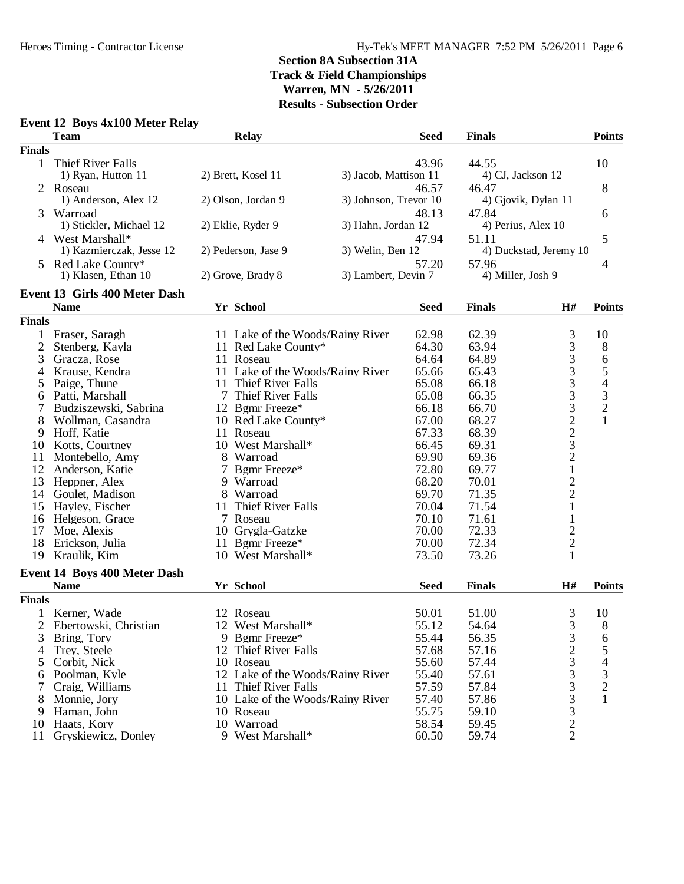# **Event 12 Boys 4x100 Meter Relay**

|                | <b>Team</b>                         |    | <b>Relay</b>                     |                       | <b>Seed</b> | <b>Finals</b>      |                                             | <b>Points</b>                              |
|----------------|-------------------------------------|----|----------------------------------|-----------------------|-------------|--------------------|---------------------------------------------|--------------------------------------------|
| <b>Finals</b>  |                                     |    |                                  |                       |             |                    |                                             |                                            |
| 1              | Thief River Falls                   |    |                                  |                       | 43.96       | 44.55              |                                             | 10                                         |
|                | 1) Ryan, Hutton 11                  |    | 2) Brett, Kosel 11               | 3) Jacob, Mattison 11 |             | 4) CJ, Jackson 12  |                                             |                                            |
|                | 2 Roseau                            |    |                                  |                       | 46.57       | 46.47              |                                             | 8                                          |
|                | 1) Anderson, Alex 12                |    | 2) Olson, Jordan 9               | 3) Johnson, Trevor 10 |             |                    | 4) Gjovik, Dylan 11                         |                                            |
| 3              | Warroad                             |    |                                  |                       | 48.13       | 47.84              |                                             | 6                                          |
|                | 1) Stickler, Michael 12             |    | 2) Eklie, Ryder 9                | 3) Hahn, Jordan 12    |             | 4) Perius, Alex 10 |                                             |                                            |
|                | 4 West Marshall*                    |    |                                  |                       | 47.94       | 51.11              |                                             | 5                                          |
|                | 1) Kazmierczak, Jesse 12            |    | 2) Pederson, Jase 9              | 3) Welin, Ben 12      |             |                    | 4) Duckstad, Jeremy 10                      |                                            |
| 5.             | Red Lake County*                    |    |                                  |                       | 57.20       | 57.96              |                                             | 4                                          |
|                | 1) Klasen, Ethan 10                 |    | 2) Grove, Brady 8                | 3) Lambert, Devin 7   |             | 4) Miller, Josh 9  |                                             |                                            |
|                | Event 13 Girls 400 Meter Dash       |    |                                  |                       |             |                    |                                             |                                            |
|                | <b>Name</b>                         |    | Yr School                        |                       | <b>Seed</b> | <b>Finals</b>      | H#                                          | <b>Points</b>                              |
| <b>Finals</b>  |                                     |    |                                  |                       |             |                    |                                             |                                            |
| 1              | Fraser, Saragh                      |    | 11 Lake of the Woods/Rainy River |                       | 62.98       | 62.39              |                                             | 10                                         |
| $\overline{c}$ | Stenberg, Kayla                     |    | 11 Red Lake County*              |                       | 64.30       | 63.94              | $\frac{3}{3}$                               | $8\,$                                      |
| 3              | Gracza, Rose                        |    | 11 Roseau                        |                       | 64.64       | 64.89              | 3                                           | 6                                          |
| 4              | Krause, Kendra                      |    | 11 Lake of the Woods/Rainy River |                       | 65.66       | 65.43              |                                             | 5                                          |
|                | Paige, Thune                        | 11 | Thief River Falls                |                       | 65.08       | 66.18              | $\frac{3}{3}$                               | 4                                          |
| 5              | Patti, Marshall                     |    | 7 Thief River Falls              |                       | 65.08       | 66.35              |                                             |                                            |
| 6<br>7         | Budziszewski, Sabrina               |    | 12 Bgmr Freeze*                  |                       | 66.18       | 66.70              |                                             | $\begin{array}{c} 3 \\ 2 \\ 1 \end{array}$ |
|                | Wollman, Casandra                   |    | 10 Red Lake County*              |                       | 67.00       | 68.27              |                                             |                                            |
| 8              | Hoff, Katie                         |    |                                  |                       | 67.33       | 68.39              |                                             |                                            |
| 9              |                                     |    | 11 Roseau<br>10 West Marshall*   |                       | 66.45       |                    |                                             |                                            |
| 10<br>11       | Kotts, Courtney                     |    | 8 Warroad                        |                       | 69.90       | 69.31<br>69.36     | 332232                                      |                                            |
| 12             | Montebello, Amy                     | 7  |                                  |                       | 72.80       | 69.77              | $\,1$                                       |                                            |
|                | Anderson, Katie                     |    | Bgmr Freeze*<br>9 Warroad        |                       | 68.20       | 70.01              |                                             |                                            |
| 13             | Heppner, Alex                       |    |                                  |                       |             |                    | $\frac{2}{2}$                               |                                            |
| 14             | Goulet, Madison                     |    | 8 Warroad                        |                       | 69.70       | 71.35              |                                             |                                            |
| 15             | Hayley, Fischer                     |    | 11 Thief River Falls             |                       | 70.04       | 71.54              | $\mathbf{1}$                                |                                            |
| 16             | Helgeson, Grace                     |    | 7 Roseau                         |                       | 70.10       | 71.61              | $\mathbf{1}$                                |                                            |
| 17             | Moe, Alexis                         |    | 10 Grygla-Gatzke                 |                       | 70.00       | 72.33              |                                             |                                            |
| 18             | Erickson, Julia                     |    | 11 Bgmr Freeze*                  |                       | 70.00       | 72.34              | $\begin{bmatrix} 2 \\ 2 \\ 1 \end{bmatrix}$ |                                            |
| 19             | Kraulik, Kim                        |    | 10 West Marshall*                |                       | 73.50       | 73.26              |                                             |                                            |
|                | <b>Event 14 Boys 400 Meter Dash</b> |    |                                  |                       |             |                    |                                             |                                            |
|                | <b>Name</b>                         |    | Yr School                        |                       | <b>Seed</b> | <b>Finals</b>      | H#                                          | <b>Points</b>                              |
| <b>Finals</b>  |                                     |    |                                  |                       |             |                    |                                             |                                            |
|                | Kerner, Wade                        |    | 12 Roseau                        |                       | 50.01       | 51.00              | 3                                           | 10                                         |
| 2              | Ebertowski, Christian               |    | 12 West Marshall*                |                       | 55.12       | 54.64              | 3                                           | 8                                          |
| 3              | Bring, Tory                         |    | 9 Bgmr Freeze*                   |                       | 55.44       | 56.35              | 3                                           | 6                                          |
| 4              | Trey, Steele                        |    | 12 Thief River Falls             |                       | 57.68       | 57.16              | $\overline{\mathbf{c}}$                     | 5                                          |
| 5              | Corbit, Nick                        |    | 10 Roseau                        |                       | 55.60       | 57.44              | 3                                           | 4                                          |
| 6              | Poolman, Kyle                       |    | 12 Lake of the Woods/Rainy River |                       | 55.40       | 57.61              | 3                                           | 3                                          |
| 7              | Craig, Williams                     |    | 11 Thief River Falls             |                       | 57.59       | 57.84              | 3                                           | $\overline{c}$                             |
| 8              | Monnie, Jory                        |    | 10 Lake of the Woods/Rainy River |                       | 57.40       | 57.86              | 3                                           | $\mathbf{1}$                               |
| 9              | Haman, John                         |    | 10 Roseau                        |                       | 55.75       | 59.10              | 3                                           |                                            |
| 10             | Haats, Kory                         |    | 10 Warroad                       |                       | 58.54       | 59.45              | $\overline{c}$                              |                                            |
| 11             | Gryskiewicz, Donley                 |    | 9 West Marshall*                 |                       | 60.50       | 59.74              | $\overline{2}$                              |                                            |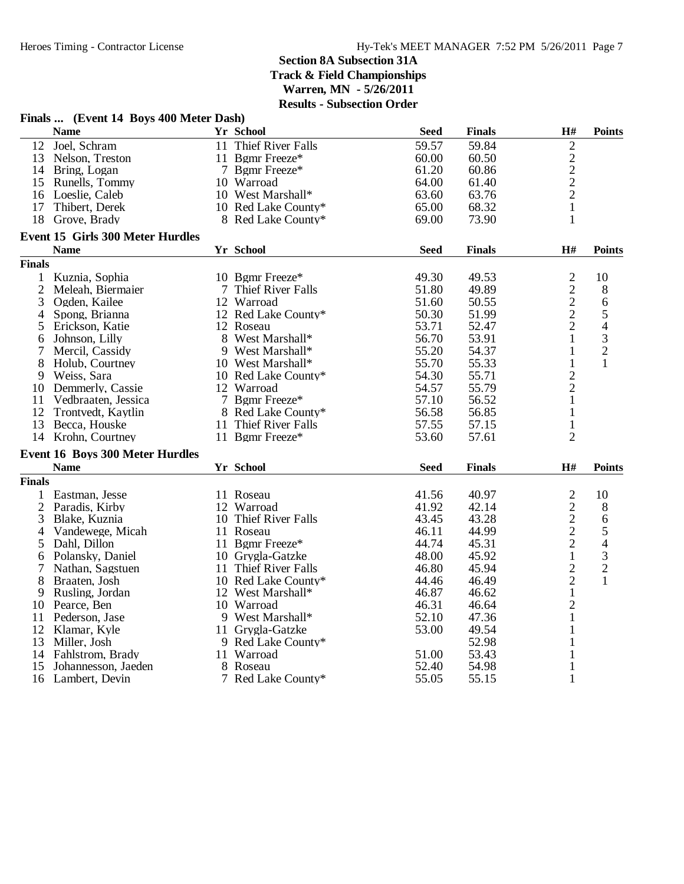|                | Finals  (Event 14 Boys 400 Meter Dash) |                      |             |               |                                            |                |
|----------------|----------------------------------------|----------------------|-------------|---------------|--------------------------------------------|----------------|
|                | <b>Name</b>                            | Yr School            | <b>Seed</b> | <b>Finals</b> | H#                                         | <b>Points</b>  |
| 12             | Joel, Schram                           | 11 Thief River Falls | 59.57       | 59.84         | $\overline{c}$                             |                |
|                | 13 Nelson, Treston                     | 11 Bgmr Freeze*      | 60.00       | 60.50         | $\frac{2}{2}$                              |                |
|                | 14 Bring, Logan                        | 7 Bgmr Freeze*       | 61.20       | 60.86         |                                            |                |
| 15             | Runells, Tommy                         | 10 Warroad           | 64.00       | 61.40         |                                            |                |
|                | 16 Loeslie, Caleb                      | 10 West Marshall*    | 63.60       | 63.76         | $\overline{c}$                             |                |
| 17             | Thibert, Derek                         | 10 Red Lake County*  | 65.00       | 68.32         | $\mathbf{1}$                               |                |
| 18             | Grove, Brady                           | 8 Red Lake County*   | 69.00       | 73.90         | $\mathbf{1}$                               |                |
|                | Event 15 Girls 300 Meter Hurdles       |                      |             |               |                                            |                |
|                | <b>Name</b>                            | Yr School            | <b>Seed</b> | <b>Finals</b> | H#                                         | <b>Points</b>  |
| <b>Finals</b>  |                                        |                      |             |               |                                            |                |
|                | 1 Kuznia, Sophia                       | 10 Bgmr Freeze*      | 49.30       | 49.53         | $\overline{c}$                             | 10             |
| $\overline{2}$ | Meleah, Biermaier                      | 7 Thief River Falls  | 51.80       | 49.89         |                                            | $8\,$          |
| 3              | Ogden, Kailee                          | 12 Warroad           | 51.60       | 50.55         | $\frac{2}{2}$                              | $\sqrt{6}$     |
| 4              | Spong, Brianna                         | 12 Red Lake County*  | 50.30       | 51.99         |                                            | $\mathfrak s$  |
| 5              | Erickson, Katie                        | 12 Roseau            | 53.71       | 52.47         | $\overline{2}$                             | $\overline{4}$ |
| 6              | Johnson, Lilly                         | 8 West Marshall*     | 56.70       | 53.91         | 1                                          | $\frac{3}{2}$  |
| 7              | Mercil, Cassidy                        | 9 West Marshall*     | 55.20       | 54.37         | $\mathbf{1}$                               |                |
| 8              | Holub, Courtney                        | 10 West Marshall*    | 55.70       | 55.33         | $\mathbf{1}$                               | $\mathbf{1}$   |
| 9              | Weiss, Sara                            | 10 Red Lake County*  | 54.30       | 55.71         | $\overline{c}$                             |                |
|                | 10 Demmerly, Cassie                    | 12 Warroad           | 54.57       | 55.79         | $\overline{c}$                             |                |
| 11             | Vedbraaten, Jessica                    | 7 Bgmr Freeze*       | 57.10       | 56.52         | $\mathbf{1}$                               |                |
| 12             | Trontvedt, Kaytlin                     | 8 Red Lake County*   | 56.58       | 56.85         | $\mathbf{1}$                               |                |
| 13             | Becca, Houske                          | 11 Thief River Falls | 57.55       | 57.15         | $\mathbf{1}$                               |                |
|                | 14 Krohn, Courtney                     | 11 Bgmr Freeze*      | 53.60       | 57.61         | $\overline{2}$                             |                |
|                | <b>Event 16 Boys 300 Meter Hurdles</b> |                      |             |               |                                            |                |
|                | <b>Name</b>                            | <b>Yr School</b>     | <b>Seed</b> | <b>Finals</b> | $\mathbf{H}^{\#}$                          | <b>Points</b>  |
| <b>Finals</b>  |                                        |                      |             |               |                                            |                |
| 1              | Eastman, Jesse                         | 11 Roseau            | 41.56       | 40.97         | $\overline{c}$                             | 10             |
|                | 2 Paradis, Kirby                       | 12 Warroad           | 41.92       | 42.14         |                                            | $8\,$          |
| 3              | Blake, Kuznia                          | 10 Thief River Falls | 43.45       | 43.28         |                                            | $\sqrt{6}$     |
| 4              | Vandewege, Micah                       | 11 Roseau            | 46.11       | 44.99         |                                            | $\sqrt{5}$     |
| 5              | Dahl, Dillon                           | 11 Bgmr Freeze*      | 44.74       | 45.31         | $\begin{array}{c} 2 \\ 2 \\ 2 \end{array}$ | $\overline{4}$ |
| 6              | Polansky, Daniel                       | 10 Grygla-Gatzke     | 48.00       | 45.92         | $\mathbf 1$                                | $\overline{3}$ |
| 7              | Nathan, Sagstuen                       | 11 Thief River Falls | 46.80       | 45.94         |                                            |                |
| 8              | Braaten, Josh                          | 10 Red Lake County*  | 44.46       | 46.49         | $\frac{2}{2}$                              | $\frac{2}{1}$  |
| 9              | Rusling, Jordan                        | 12 West Marshall*    | 46.87       | 46.62         | $\,1$                                      |                |
| 10             | Pearce, Ben                            | 10 Warroad           | 46.31       | 46.64         | $\overline{c}$                             |                |
| 11             | Pederson, Jase                         | 9 West Marshall*     | 52.10       | 47.36         | $\mathbf{1}$                               |                |
|                | 12 Klamar, Kyle                        | 11 Grygla-Gatzke     | 53.00       | 49.54         | 1                                          |                |
| 13             | Miller, Josh                           | 9 Red Lake County*   |             | 52.98         | $\mathbf{1}$                               |                |
|                | 14 Fahlstrom, Brady                    | 11 Warroad           | 51.00       | 53.43         | $\mathbf{1}$                               |                |
| 15             | Johannesson, Jaeden                    | 8 Roseau             | 52.40       | 54.98         | 1                                          |                |
|                |                                        | 7 Red Lake County*   | 55.05       | 55.15         | $\mathbf{1}$                               |                |
|                | 16 Lambert, Devin                      |                      |             |               |                                            |                |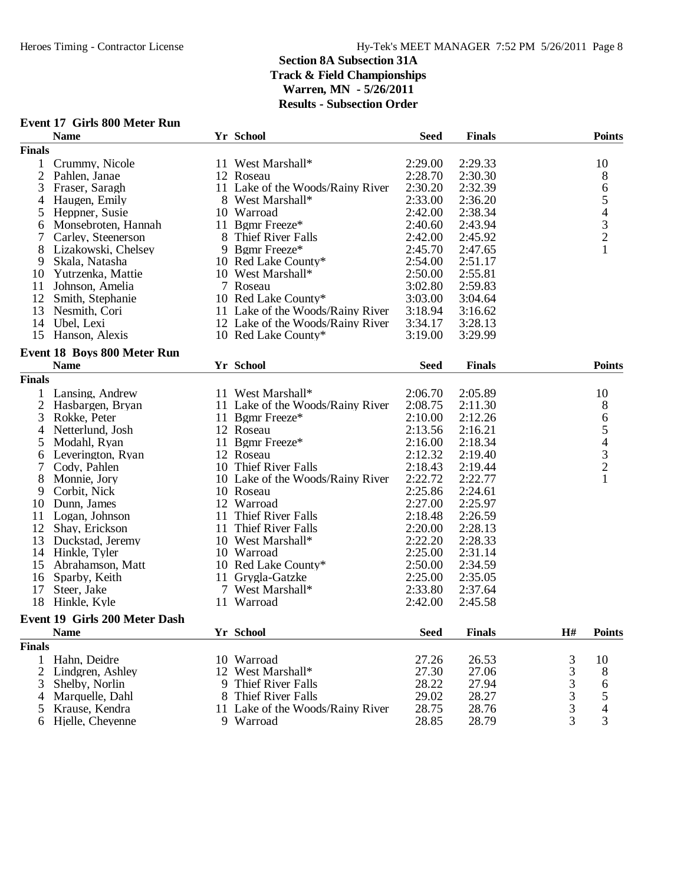|                | <b>Name</b>                          |    | Yr School                        | <b>Seed</b> | <b>Finals</b> |                | <b>Points</b>                              |
|----------------|--------------------------------------|----|----------------------------------|-------------|---------------|----------------|--------------------------------------------|
| <b>Finals</b>  |                                      |    |                                  |             |               |                |                                            |
| 1              | Crummy, Nicole                       |    | 11 West Marshall*                | 2:29.00     | 2:29.33       |                | 10                                         |
| $\overline{2}$ | Pahlen, Janae                        |    | 12 Roseau                        | 2:28.70     | 2:30.30       |                | 8                                          |
| 3              | Fraser, Saragh                       |    | 11 Lake of the Woods/Rainy River | 2:30.20     | 2:32.39       |                | 6                                          |
| 4              | Haugen, Emily                        |    | 8 West Marshall*                 | 2:33.00     | 2:36.20       |                | 5                                          |
| 5              | Heppner, Susie                       |    | 10 Warroad                       | 2:42.00     | 2:38.34       |                |                                            |
| 6              | Monsebroten, Hannah                  |    | 11 Bgmr Freeze*                  | 2:40.60     | 2:43.94       |                |                                            |
| 7              | Carley, Steenerson                   |    | 8 Thief River Falls              | 2:42.00     | 2:45.92       |                | $\begin{array}{c} 4 \\ 3 \\ 2 \end{array}$ |
| 8              | Lizakowski, Chelsey                  |    | 9 Bgmr Freeze*                   | 2:45.70     | 2:47.65       |                | $\mathbf{1}$                               |
| 9              | Skala, Natasha                       |    | 10 Red Lake County*              | 2:54.00     | 2:51.17       |                |                                            |
| 10             | Yutrzenka, Mattie                    |    | 10 West Marshall*                | 2:50.00     | 2:55.81       |                |                                            |
| 11             | Johnson, Amelia                      |    | 7 Roseau                         | 3:02.80     | 2:59.83       |                |                                            |
| 12             | Smith, Stephanie                     |    | 10 Red Lake County*              | 3:03.00     | 3:04.64       |                |                                            |
| 13             | Nesmith, Cori                        |    | 11 Lake of the Woods/Rainy River | 3:18.94     | 3:16.62       |                |                                            |
| 14             | Ubel, Lexi                           |    | 12 Lake of the Woods/Rainy River | 3:34.17     | 3:28.13       |                |                                            |
| 15             | Hanson, Alexis                       |    | 10 Red Lake County*              | 3:19.00     | 3:29.99       |                |                                            |
|                |                                      |    |                                  |             |               |                |                                            |
|                | Event 18 Boys 800 Meter Run          |    |                                  |             |               |                |                                            |
|                | <b>Name</b>                          |    | Yr School                        | <b>Seed</b> | <b>Finals</b> |                | <b>Points</b>                              |
| <b>Finals</b>  |                                      |    |                                  |             |               |                |                                            |
| 1              | Lansing, Andrew                      |    | 11 West Marshall*                | 2:06.70     | 2:05.89       |                | 10                                         |
| $\overline{2}$ | Hasbargen, Bryan                     |    | 11 Lake of the Woods/Rainy River | 2:08.75     | 2:11.30       |                | 8                                          |
| 3              | Rokke, Peter                         |    | 11 Bgmr Freeze*                  | 2:10.00     | 2:12.26       |                | 6                                          |
| 4              | Netterlund, Josh                     |    | 12 Roseau                        | 2:13.56     | 2:16.21       |                | 5                                          |
| 5              | Modahl, Ryan                         |    | 11 Bgmr Freeze*                  | 2:16.00     | 2:18.34       |                | $\begin{array}{c} 4 \\ 3 \\ 2 \end{array}$ |
| 6              | Leverington, Ryan                    |    | 12 Roseau                        | 2:12.32     | 2:19.40       |                |                                            |
| 7              | Cody, Pahlen                         |    | 10 Thief River Falls             | 2:18.43     | 2:19.44       |                |                                            |
| 8              | Monnie, Jory                         |    | 10 Lake of the Woods/Rainy River | 2:22.72     | 2:22.77       |                | $\mathbf{1}$                               |
| 9              | Corbit, Nick                         |    | 10 Roseau                        | 2:25.86     | 2:24.61       |                |                                            |
| 10             | Dunn, James                          |    | 12 Warroad                       | 2:27.00     | 2:25.97       |                |                                            |
| 11             | Logan, Johnson                       | 11 | Thief River Falls                | 2:18.48     | 2:26.59       |                |                                            |
| 12             | Shay, Erickson                       | 11 | Thief River Falls                | 2:20.00     | 2:28.13       |                |                                            |
| 13             | Duckstad, Jeremy                     |    | 10 West Marshall*                | 2:22.20     | 2:28.33       |                |                                            |
|                | 14 Hinkle, Tyler                     |    | 10 Warroad                       | 2:25.00     | 2:31.14       |                |                                            |
| 15             | Abrahamson, Matt                     |    | 10 Red Lake County*              | 2:50.00     | 2:34.59       |                |                                            |
| 16             | Sparby, Keith                        | 11 | Grygla-Gatzke                    | 2:25.00     | 2:35.05       |                |                                            |
| 17             | Steer, Jake                          |    | 7 West Marshall*                 | 2:33.80     | 2:37.64       |                |                                            |
| 18             | Hinkle, Kyle                         | 11 | Warroad                          | 2:42.00     | 2:45.58       |                |                                            |
|                | <b>Event 19 Girls 200 Meter Dash</b> |    |                                  |             |               |                |                                            |
|                | <b>Name</b>                          |    | Yr School                        | <b>Seed</b> | <b>Finals</b> | H#             | <b>Points</b>                              |
| <b>Finals</b>  |                                      |    |                                  |             |               |                |                                            |
|                |                                      |    |                                  |             |               |                |                                            |
| 1              | Hahn, Deidre                         |    | 10 Warroad                       | 27.26       | 26.53         | 3              | 10                                         |
| $\overline{c}$ | Lindgren, Ashley                     |    | 12 West Marshall*                | 27.30       | 27.06         | 3              | 8                                          |
| 3              | Shelby, Norlin                       |    | 9 Thief River Falls              | 28.22       | 27.94         | 3              | 6                                          |
| 4              | Marquelle, Dahl                      | 8  | Thief River Falls                | 29.02       | 28.27         | 3              | 5                                          |
| 5              | Krause, Kendra                       |    | 11 Lake of the Woods/Rainy River | 28.75       | 28.76         | $\mathfrak{Z}$ | 4                                          |
|                | 6 Hjelle, Cheyenne                   |    | 9 Warroad                        | 28.85       | 28.79         | 3              | 3                                          |

### **Event 17 Girls 800 Meter Run**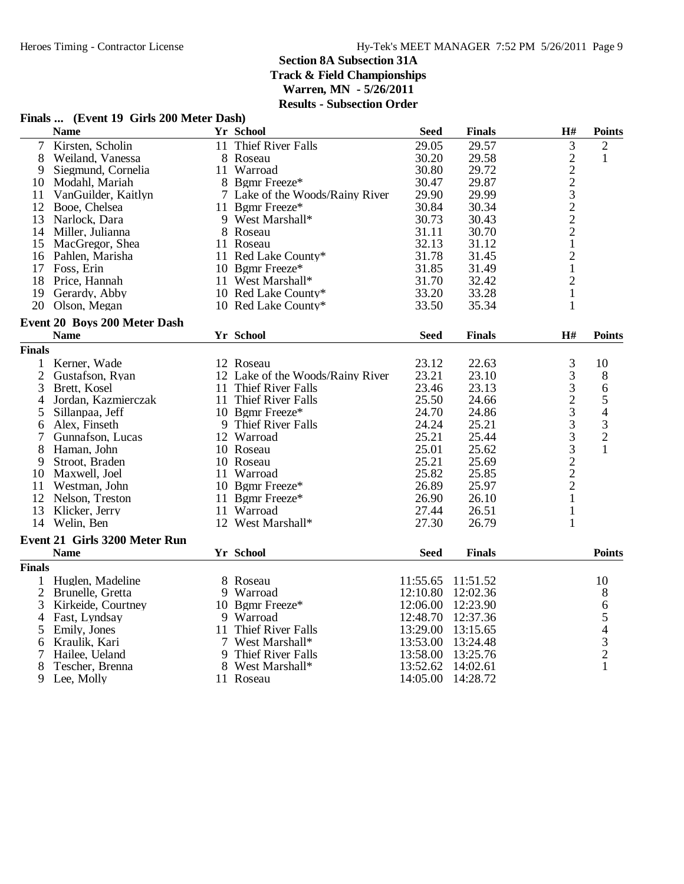#### **Finals ... (Event 19 Girls 200 Meter Dash)**  $\bf{N}$ ame **Finals Finals Finals Finals Finals Finals Finals Finals Finals Finals Finals Finals** 1 Van Cornelia (Maria 11 Thief River Falls 29.05 29.57 3 2<br>
8 Weiland, Vanessa 8 Roseau 30.20 29.58 2 1<br>
9 Siegmund, Cornelia 11 Warroad 30.80 29.72 2<br>
1 Van Guilder, Kaitlyn 7 Lake of the Woods/Rainy River 29.90 29.99 3<br> 8 Weiland, Vanessa 8 Roseau 30.20 29.58<br>9 Siegmund, Cornelia 11 Warroad 30.80 29.72 9 Siegmund, Cornelia 11 Warroad 30.80 29.72<br>10 Modahl, Mariah 8 Bemr Freeze\* 30.47 29.87 10 Modahl, Mariah 8 Bgmr Freeze\* 30.47 29.87<br>11 VanGuilder, Kaitlyn 7 Lake of the Woods/Rainy River 29.90 29.99 7 Lake of the Woods/Rainy River  $29.90$  29.99<br>11 Bgmr Freeze\* 30.84 30.34 12 Booe, Chelsea 11 Bgmr Freeze\* 30.84 30.34<br>13 Narlock, Dara 9 West Marshall\* 30.73 30.43 9 West Marshall\* 30.73 30.43 2<br>8 Roseau 31.11 30.70 2 14 Miller, Julianna 8 Roseau 31.11 30.70 2 15 MacGregor, Shea 11 Roseau 11 2011 - 32.13 31.12 1<br>16 Pahlen, Marisha 11 Red Lake County\* 31.78 31.45 2 16 Pahlen, Marisha 11 Red Lake County\* 31.78 31.45 2<br>17 Foss. Erin 10 Bemr Freeze\* 31.85 31.49 1 17 Foss, Erin 10 10 11 Mest Marshall\* 11 Mest Marshall\* 11 Mest Marshall\* 11 Mest Marshall\* 1.1 2 18 Price, Hannah 11 West Marshall\* 31.70 32.42 2<br>19 Gerardy, Abby 10 Red Lake County\* 33.20 33.28 1 19 Gerardy, Abby 10 Red Lake County\* 33.20 33.28 1<br>
20 Olson, Megan 10 Red Lake County\* 33.50 35.34 1 10 Red Lake County\* 33.50 **Event 20 Boys 200 Meter Dash**  $\bf{N}$ ame **Finals Finals Finals Finals Finals Finals Finals Finals Finals Finals Finals Finals Finals** 1 Kerner, Wade 12 Roseau 23.12 22.63 3 10<br>
2 Gustafson, Ryan 12 Lake of the Woods/Rainy River 23.21 23.10 3 8 2 Gustafson, Ryan 12 Lake of the Woods/Rainy River 23.21 23.10 3 8<br>3 Brett, Kosel 11 Thief River Falls 23.46 23.13 3 6 11 Thief River Falls 23.46 23.13 3 6<br>11 Thief River Falls 25.50 24.66 2 5 4 Jordan, Kazmierczak 11 Thief River Falls 25.50 24.66 2 5<br>
5 Sillanpaa, Jeff 10 Bgmr Freeze\* 24.70 24.86 3 4<br>
6 Alex, Finseth 9 Thief River Falls 24.24 25.21 3 3 5 Sillanpaa, Jeff 10 Bgmr Freeze\* 24.70 24.86 3 4<br>6 Alex, Finseth 9 Thief River Falls 24.24 25.21 3 3 9 Thief River Falls<br>
12 Warroad<br>
12 Warroad<br>
10 Roseau<br>
10 Roseau<br>
25.01 25.62<br>
25.01 25.62<br>
25.21 25.69<br>
25.21 25.69<br>
25.82<br>
25.82<br>
25.82<br>
25.85<br>
26.89<br>
25.97<br>
2 7 Gunnafson, Lucas 12 Warroad 25.21 25.44 3 2 8 Haman, John 10 Roseau 25.01 25.62 3 1 9 Stroot, Braden 10 Roseau 25.21 25.69<br>
11 Warroad 25.82 25.85 10 Maxwell, Joel 11 Warroad 25.82 25.85<br>11 Westman, John 10 Bgmr Freeze\* 26.89 25.97 11 Westman, John 10 Bgmr Freeze\* 26.89 25.97 2<br>12 Nelson, Treston 11 Bgmr Freeze\* 26.90 26.10 1 12 Nelson, Treston 11 Bgmr Freeze\* 11 26.90 26.10 1<br>13 Klicker, Jerry 11 Warroad 27.44 26.51 1 13 Klicker, Jerry 11 Warroad 11 27.44 26.51 1<br>14 Welin, Ben 12 West Marshall\* 27.30 26.79 1 12 West Marshall\* **Event 21 Girls 3200 Meter Run Name Yr School FinalsSeed Points Finals** 1 Huglen, Madeline 8 Roseau 11:55.65 11:51.52 10 2 Brunelle, Gretta 9 Warroad 12:10.80 12:02.36 8<br>3 Kirkeide, Courtney 10 Bgmr Freeze\* 12:06. 3 Kirkeide, Courtney 10 Bgmr Freeze\* 12:06.00 12:23.90 6<br>
4 Fast, Lyndsay 9 Warroad 12:48.70 12:37.36 5 4 Fast, Lyndsay 9 Warroad 12:48.70 12:37.36 5<br>5 Emily, Jones 11 Thief River Falls 13:29.00 13:15.65 4 Emily, Jones 11 Thief River Falls 13:29.00 13:15.65 4<br>Kraulik, Kari 7 West Marshall\* 13:53.00 13:24.48 3 6 Kraulik, Kari 7 West Marshall\* 13:53.00 13:24.48 3 7 Hailee, Ueland 9 Thief River Falls 13:58.00 13:25.76 2<br>8 Tescher. Brenna 8 West Marshall\* 13:52.62 14:02.61 1 8 Tescher, Brenna 13:52.62 14:02.61<br>
9 Lee, Molly 11 Roseau 14:05.00 14:28.72 9 Lee, Molly 11 Roseau 14:05.00 14:28.72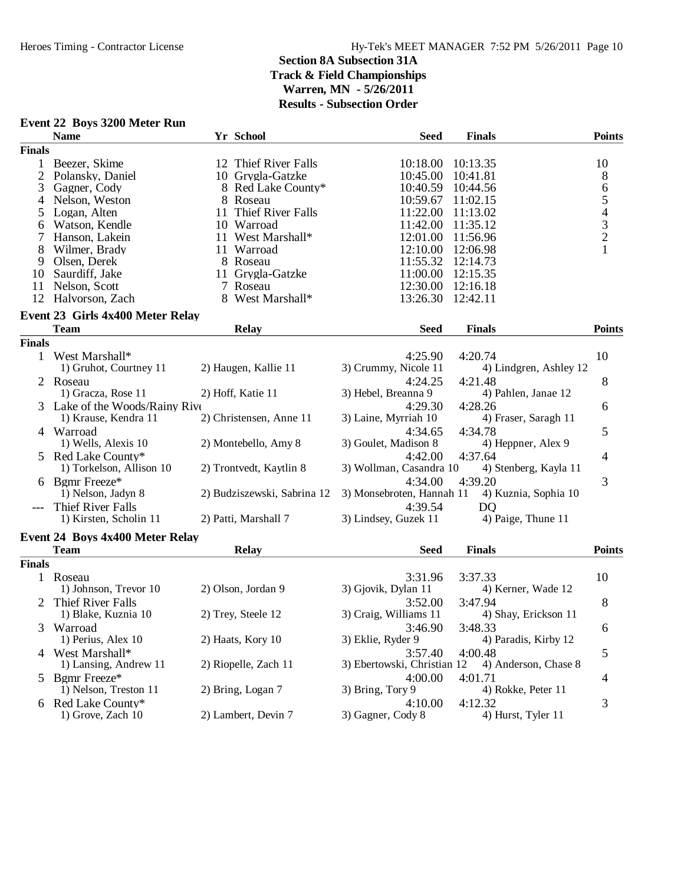|               | <b>Event 22 Boys 3200 Meter Run</b>    |                      |                             |                             |                        |                                            |
|---------------|----------------------------------------|----------------------|-----------------------------|-----------------------------|------------------------|--------------------------------------------|
|               | <b>Name</b>                            | Yr School            |                             | <b>Seed</b>                 | <b>Finals</b>          | Points                                     |
| <b>Finals</b> |                                        |                      |                             |                             |                        |                                            |
| 1             | Beezer, Skime                          |                      | 12 Thief River Falls        | 10:18.00                    | 10:13.35               | 10                                         |
| 2             | Polansky, Daniel                       |                      | 10 Grygla-Gatzke            | 10:45.00                    | 10:41.81               | $8\phantom{1}$                             |
| 3             | Gagner, Cody                           |                      | 8 Red Lake County*          | 10:40.59                    | 10:44.56               | $\sqrt{6}$                                 |
| 4             | Nelson, Weston                         | 8 Roseau             |                             | 10:59.67                    | 11:02.15               | $\mathfrak s$                              |
| 5             | Logan, Alten                           | 11                   | Thief River Falls           | 11:22.00                    | 11:13.02               |                                            |
| 6             | Watson, Kendle                         | 10 Warroad           |                             | 11:42.00                    | 11:35.12               | $\begin{array}{c} 4 \\ 3 \\ 2 \end{array}$ |
| 7             | Hanson, Lakein                         |                      | 11 West Marshall*           | 12:01.00                    | 11:56.96               |                                            |
| 8             | Wilmer, Brady                          | 11 Warroad           |                             | 12:10.00                    | 12:06.98               | 1                                          |
| 9             | Olsen, Derek                           | 8 Roseau             |                             | 11:55.32                    | 12:14.73               |                                            |
| 10            | Saurdiff, Jake                         |                      | 11 Grygla-Gatzke            | 11:00.00                    | 12:15.35               |                                            |
| 11            | Nelson, Scott                          | 7 Roseau             |                             | 12:30.00                    | 12:16.18               |                                            |
| 12            | Halvorson, Zach                        |                      | 8 West Marshall*            | 13:26.30                    | 12:42.11               |                                            |
|               | Event 23 Girls 4x400 Meter Relay       |                      |                             |                             |                        |                                            |
|               | <b>Team</b>                            | <b>Relay</b>         |                             | <b>Seed</b>                 | <b>Finals</b>          | <b>Points</b>                              |
| <b>Finals</b> |                                        |                      |                             |                             |                        |                                            |
| 1             | West Marshall*                         |                      |                             | 4:25.90                     | 4:20.74                | 10                                         |
|               | 1) Gruhot, Courtney 11                 | 2) Haugen, Kallie 11 |                             | 3) Crummy, Nicole 11        | 4) Lindgren, Ashley 12 |                                            |
| 2             | Roseau                                 |                      |                             | 4:24.25                     | 4:21.48                | 8                                          |
|               | 1) Gracza, Rose 11                     | 2) Hoff, Katie 11    |                             | 3) Hebel, Breanna 9         | 4) Pahlen, Janae 12    |                                            |
|               | 3 Lake of the Woods/Rainy Rive         |                      |                             | 4:29.30                     | 4:28.26                | 6                                          |
|               | 1) Krause, Kendra 11                   |                      | 2) Christensen, Anne 11     | 3) Laine, Myrriah 10        | 4) Fraser, Saragh 11   |                                            |
| 4             | Warroad                                |                      |                             | 4:34.65                     | 4:34.78                | 5                                          |
|               | 1) Wells, Alexis 10                    |                      | 2) Montebello, Amy 8        | 3) Goulet, Madison 8        | 4) Heppner, Alex 9     |                                            |
| 5             | Red Lake County*                       |                      |                             | 4:42.00                     | 4:37.64                | $\overline{4}$                             |
|               | 1) Torkelson, Allison 10               |                      | 2) Trontvedt, Kaytlin 8     | 3) Wollman, Casandra 10     | 4) Stenberg, Kayla 11  |                                            |
| 6             | Bgmr Freeze*                           |                      |                             | 4:34.00                     | 4:39.20                | 3                                          |
|               | 1) Nelson, Jadyn 8                     |                      | 2) Budziszewski, Sabrina 12 | 3) Monsebroten, Hannah 11   | 4) Kuznia, Sophia 10   |                                            |
|               | Thief River Falls                      |                      |                             | 4:39.54                     | D <sub>O</sub>         |                                            |
|               | 1) Kirsten, Scholin 11                 | 2) Patti, Marshall 7 |                             | 3) Lindsey, Guzek 11        | 4) Paige, Thune 11     |                                            |
|               | <b>Event 24 Boys 4x400 Meter Relay</b> |                      |                             |                             |                        |                                            |
|               | <b>Team</b>                            | <b>Relay</b>         |                             | <b>Seed</b>                 | <b>Finals</b>          | <b>Points</b>                              |
| <b>Finals</b> |                                        |                      |                             |                             |                        |                                            |
|               | 1 Roseau                               |                      |                             | 3:31.96                     | 3:37.33                | 10                                         |
|               | 1) Johnson, Trevor 10                  | 2) Olson, Jordan 9   |                             | 3) Gjovik, Dylan 11         | 4) Kerner, Wade 12     |                                            |
|               | Thief River Falls                      |                      |                             | 3:52.00                     | 3:47.94                | 8                                          |
|               | 1) Blake, Kuznia 10                    | 2) Trey, Steele 12   |                             | 3) Craig, Williams 11       | 4) Shay, Erickson 11   |                                            |
| 3             | Warroad                                |                      |                             | 3:46.90                     | 3:48.33                | 6                                          |
|               | 1) Perius, Alex 10                     | 2) Haats, Kory 10    |                             | 3) Eklie, Ryder 9           | 4) Paradis, Kirby 12   |                                            |
|               | 4 West Marshall*                       |                      |                             | 3:57.40                     | 4:00.48                | 5                                          |
|               | 1) Lansing, Andrew 11                  | 2) Riopelle, Zach 11 |                             | 3) Ebertowski, Christian 12 | 4) Anderson, Chase 8   |                                            |
| 5             | Bgmr Freeze*                           |                      |                             | 4:00.00                     | 4:01.71                | 4                                          |
|               | 1) Nelson, Treston 11                  | 2) Bring, Logan 7    |                             | 3) Bring, Tory 9            | 4) Rokke, Peter 11     |                                            |
|               | 6 Red Lake County*                     |                      |                             | 4:10.00                     | 4:12.32                | 3                                          |
|               | 1) Grove, Zach 10                      | 2) Lambert, Devin 7  |                             | 3) Gagner, Cody 8           | 4) Hurst, Tyler 11     |                                            |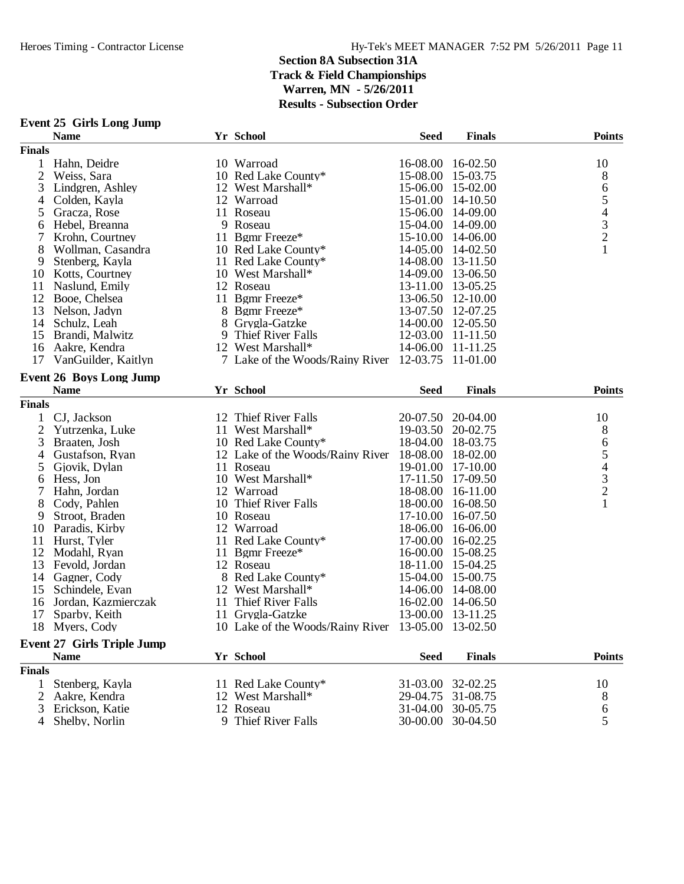| Yr School<br><b>Name</b><br><b>Seed</b><br><b>Finals</b><br><b>Points</b><br><b>Finals</b><br>10 Warroad<br>16-02.50<br>10<br>1<br>Hahn, Deidre<br>16-08.00<br>10 Red Lake County*<br>2<br>Weiss, Sara<br>15-08.00<br>15-03.75<br>$8\,$<br>3<br>12 West Marshall*<br>$\sqrt{6}$<br>Lindgren, Ashley<br>15-06.00<br>15-02.00<br>$\mathfrak s$<br>$14 - 10.50$<br>4<br>Colden, Kayla<br>12 Warroad<br>15-01.00<br>$\overline{4}$<br>11 Roseau<br>15-06.00<br>5<br>Gracza, Rose<br>14-09.00<br>$\overline{\mathbf{3}}$<br>Hebel, Breanna<br>9 Roseau<br>15-04.00<br>14-09.00<br>6<br>$\frac{2}{1}$<br>7<br>11 Bgmr Freeze*<br>Krohn. Courtney<br>15-10.00<br>14-06.00<br>8<br>Wollman, Casandra<br>10 Red Lake County*<br>14-05.00 14-02.50<br>14-08.00<br>9<br>Stenberg, Kayla<br>11 Red Lake County*<br>13-11.50<br>14-09.00<br>10 Kotts, Courtney<br>10 West Marshall*<br>13-06.50<br>11<br>Naslund, Emily<br>12 Roseau<br>13-11.00<br>13-05.25<br>12 Booe, Chelsea<br>13-06.50<br>11 Bgmr Freeze*<br>12-10.00<br>8 Bgmr Freeze*<br>13-07.50<br>13<br>Nelson, Jadyn<br>12-07.25<br>8 Grygla-Gatzke<br>14-00.00<br>12-05.50<br>14<br>Schulz, Leah<br>9 Thief River Falls<br>12-03.00<br>Brandi, Malwitz<br>11-11.50<br>15<br>12 West Marshall*<br>14-06.00<br>16<br>Aakre, Kendra<br>11-11.25<br>7 Lake of the Woods/Rainy River 12-03.75<br>11-01.00<br>17<br>VanGuilder, Kaitlyn<br><b>Event 26 Boys Long Jump</b><br>Yr School<br><b>Name</b><br><b>Seed</b><br><b>Finals</b><br><b>Points</b> |
|--------------------------------------------------------------------------------------------------------------------------------------------------------------------------------------------------------------------------------------------------------------------------------------------------------------------------------------------------------------------------------------------------------------------------------------------------------------------------------------------------------------------------------------------------------------------------------------------------------------------------------------------------------------------------------------------------------------------------------------------------------------------------------------------------------------------------------------------------------------------------------------------------------------------------------------------------------------------------------------------------------------------------------------------------------------------------------------------------------------------------------------------------------------------------------------------------------------------------------------------------------------------------------------------------------------------------------------------------------------------------------------------------------------------------------------------------------------------------------------------------|
|                                                                                                                                                                                                                                                                                                                                                                                                                                                                                                                                                                                                                                                                                                                                                                                                                                                                                                                                                                                                                                                                                                                                                                                                                                                                                                                                                                                                                                                                                                  |
|                                                                                                                                                                                                                                                                                                                                                                                                                                                                                                                                                                                                                                                                                                                                                                                                                                                                                                                                                                                                                                                                                                                                                                                                                                                                                                                                                                                                                                                                                                  |
|                                                                                                                                                                                                                                                                                                                                                                                                                                                                                                                                                                                                                                                                                                                                                                                                                                                                                                                                                                                                                                                                                                                                                                                                                                                                                                                                                                                                                                                                                                  |
|                                                                                                                                                                                                                                                                                                                                                                                                                                                                                                                                                                                                                                                                                                                                                                                                                                                                                                                                                                                                                                                                                                                                                                                                                                                                                                                                                                                                                                                                                                  |
|                                                                                                                                                                                                                                                                                                                                                                                                                                                                                                                                                                                                                                                                                                                                                                                                                                                                                                                                                                                                                                                                                                                                                                                                                                                                                                                                                                                                                                                                                                  |
|                                                                                                                                                                                                                                                                                                                                                                                                                                                                                                                                                                                                                                                                                                                                                                                                                                                                                                                                                                                                                                                                                                                                                                                                                                                                                                                                                                                                                                                                                                  |
|                                                                                                                                                                                                                                                                                                                                                                                                                                                                                                                                                                                                                                                                                                                                                                                                                                                                                                                                                                                                                                                                                                                                                                                                                                                                                                                                                                                                                                                                                                  |
|                                                                                                                                                                                                                                                                                                                                                                                                                                                                                                                                                                                                                                                                                                                                                                                                                                                                                                                                                                                                                                                                                                                                                                                                                                                                                                                                                                                                                                                                                                  |
|                                                                                                                                                                                                                                                                                                                                                                                                                                                                                                                                                                                                                                                                                                                                                                                                                                                                                                                                                                                                                                                                                                                                                                                                                                                                                                                                                                                                                                                                                                  |
|                                                                                                                                                                                                                                                                                                                                                                                                                                                                                                                                                                                                                                                                                                                                                                                                                                                                                                                                                                                                                                                                                                                                                                                                                                                                                                                                                                                                                                                                                                  |
|                                                                                                                                                                                                                                                                                                                                                                                                                                                                                                                                                                                                                                                                                                                                                                                                                                                                                                                                                                                                                                                                                                                                                                                                                                                                                                                                                                                                                                                                                                  |
|                                                                                                                                                                                                                                                                                                                                                                                                                                                                                                                                                                                                                                                                                                                                                                                                                                                                                                                                                                                                                                                                                                                                                                                                                                                                                                                                                                                                                                                                                                  |
|                                                                                                                                                                                                                                                                                                                                                                                                                                                                                                                                                                                                                                                                                                                                                                                                                                                                                                                                                                                                                                                                                                                                                                                                                                                                                                                                                                                                                                                                                                  |
|                                                                                                                                                                                                                                                                                                                                                                                                                                                                                                                                                                                                                                                                                                                                                                                                                                                                                                                                                                                                                                                                                                                                                                                                                                                                                                                                                                                                                                                                                                  |
|                                                                                                                                                                                                                                                                                                                                                                                                                                                                                                                                                                                                                                                                                                                                                                                                                                                                                                                                                                                                                                                                                                                                                                                                                                                                                                                                                                                                                                                                                                  |
|                                                                                                                                                                                                                                                                                                                                                                                                                                                                                                                                                                                                                                                                                                                                                                                                                                                                                                                                                                                                                                                                                                                                                                                                                                                                                                                                                                                                                                                                                                  |
|                                                                                                                                                                                                                                                                                                                                                                                                                                                                                                                                                                                                                                                                                                                                                                                                                                                                                                                                                                                                                                                                                                                                                                                                                                                                                                                                                                                                                                                                                                  |
|                                                                                                                                                                                                                                                                                                                                                                                                                                                                                                                                                                                                                                                                                                                                                                                                                                                                                                                                                                                                                                                                                                                                                                                                                                                                                                                                                                                                                                                                                                  |
|                                                                                                                                                                                                                                                                                                                                                                                                                                                                                                                                                                                                                                                                                                                                                                                                                                                                                                                                                                                                                                                                                                                                                                                                                                                                                                                                                                                                                                                                                                  |
|                                                                                                                                                                                                                                                                                                                                                                                                                                                                                                                                                                                                                                                                                                                                                                                                                                                                                                                                                                                                                                                                                                                                                                                                                                                                                                                                                                                                                                                                                                  |
|                                                                                                                                                                                                                                                                                                                                                                                                                                                                                                                                                                                                                                                                                                                                                                                                                                                                                                                                                                                                                                                                                                                                                                                                                                                                                                                                                                                                                                                                                                  |
| <b>Finals</b>                                                                                                                                                                                                                                                                                                                                                                                                                                                                                                                                                                                                                                                                                                                                                                                                                                                                                                                                                                                                                                                                                                                                                                                                                                                                                                                                                                                                                                                                                    |
| CJ, Jackson<br>12 Thief River Falls<br>20-07.50 20-04.00<br>10<br>1                                                                                                                                                                                                                                                                                                                                                                                                                                                                                                                                                                                                                                                                                                                                                                                                                                                                                                                                                                                                                                                                                                                                                                                                                                                                                                                                                                                                                              |
| $\overline{2}$<br>11 West Marshall*<br>19-03.50<br>20-02.75<br>8<br>Yutrzenka, Luke                                                                                                                                                                                                                                                                                                                                                                                                                                                                                                                                                                                                                                                                                                                                                                                                                                                                                                                                                                                                                                                                                                                                                                                                                                                                                                                                                                                                              |
| $\sqrt{6}$<br>10 Red Lake County*<br>3<br>Braaten, Josh<br>18-04.00<br>18-03.75                                                                                                                                                                                                                                                                                                                                                                                                                                                                                                                                                                                                                                                                                                                                                                                                                                                                                                                                                                                                                                                                                                                                                                                                                                                                                                                                                                                                                  |
| 5<br>Gustafson, Ryan<br>12 Lake of the Woods/Rainy River 18-08.00<br>18-02.00<br>4                                                                                                                                                                                                                                                                                                                                                                                                                                                                                                                                                                                                                                                                                                                                                                                                                                                                                                                                                                                                                                                                                                                                                                                                                                                                                                                                                                                                               |
| $\overline{4}$<br>5<br>11 Roseau<br>19-01.00<br>17-10.00<br>Gjovik, Dylan                                                                                                                                                                                                                                                                                                                                                                                                                                                                                                                                                                                                                                                                                                                                                                                                                                                                                                                                                                                                                                                                                                                                                                                                                                                                                                                                                                                                                        |
| $\frac{3}{2}$<br>10 West Marshall*<br>17-11.50<br>Hess, Jon<br>17-09.50<br>6                                                                                                                                                                                                                                                                                                                                                                                                                                                                                                                                                                                                                                                                                                                                                                                                                                                                                                                                                                                                                                                                                                                                                                                                                                                                                                                                                                                                                     |
| 12 Warroad<br>18-08.00<br>16-11.00<br>7<br>Hahn, Jordan                                                                                                                                                                                                                                                                                                                                                                                                                                                                                                                                                                                                                                                                                                                                                                                                                                                                                                                                                                                                                                                                                                                                                                                                                                                                                                                                                                                                                                          |
| $\mathbf{1}$<br>8<br>10 Thief River Falls<br>Cody, Pahlen<br>18-00.00<br>16-08.50                                                                                                                                                                                                                                                                                                                                                                                                                                                                                                                                                                                                                                                                                                                                                                                                                                                                                                                                                                                                                                                                                                                                                                                                                                                                                                                                                                                                                |
| 9<br>Stroot, Braden<br>10 Roseau<br>17-10.00<br>16-07.50                                                                                                                                                                                                                                                                                                                                                                                                                                                                                                                                                                                                                                                                                                                                                                                                                                                                                                                                                                                                                                                                                                                                                                                                                                                                                                                                                                                                                                         |
| Paradis, Kirby<br>12 Warroad<br>16-06.00<br>10<br>18-06.00                                                                                                                                                                                                                                                                                                                                                                                                                                                                                                                                                                                                                                                                                                                                                                                                                                                                                                                                                                                                                                                                                                                                                                                                                                                                                                                                                                                                                                       |
| Hurst, Tyler<br>11 Red Lake County*<br>17-00.00<br>11<br>16-02.25                                                                                                                                                                                                                                                                                                                                                                                                                                                                                                                                                                                                                                                                                                                                                                                                                                                                                                                                                                                                                                                                                                                                                                                                                                                                                                                                                                                                                                |
| 12 Modahl, Ryan<br>11 Bgmr Freeze*<br>16-00.00<br>15-08.25                                                                                                                                                                                                                                                                                                                                                                                                                                                                                                                                                                                                                                                                                                                                                                                                                                                                                                                                                                                                                                                                                                                                                                                                                                                                                                                                                                                                                                       |
| 13<br>Fevold, Jordan<br>12 Roseau<br>18-11.00<br>15-04.25                                                                                                                                                                                                                                                                                                                                                                                                                                                                                                                                                                                                                                                                                                                                                                                                                                                                                                                                                                                                                                                                                                                                                                                                                                                                                                                                                                                                                                        |
| 8 Red Lake County*<br>15-04.00<br>14 Gagner, Cody<br>15-00.75                                                                                                                                                                                                                                                                                                                                                                                                                                                                                                                                                                                                                                                                                                                                                                                                                                                                                                                                                                                                                                                                                                                                                                                                                                                                                                                                                                                                                                    |
| Schindele, Evan<br>12 West Marshall*<br>14-06.00<br>14-08.00<br>15                                                                                                                                                                                                                                                                                                                                                                                                                                                                                                                                                                                                                                                                                                                                                                                                                                                                                                                                                                                                                                                                                                                                                                                                                                                                                                                                                                                                                               |
| 11 Thief River Falls<br>16-02.00<br>16<br>Jordan, Kazmierczak<br>14-06.50                                                                                                                                                                                                                                                                                                                                                                                                                                                                                                                                                                                                                                                                                                                                                                                                                                                                                                                                                                                                                                                                                                                                                                                                                                                                                                                                                                                                                        |
| 13-00.00 13-11.25<br>17<br>Sparby, Keith<br>11 Grygla-Gatzke                                                                                                                                                                                                                                                                                                                                                                                                                                                                                                                                                                                                                                                                                                                                                                                                                                                                                                                                                                                                                                                                                                                                                                                                                                                                                                                                                                                                                                     |
| 18 Myers, Cody<br>10 Lake of the Woods/Rainy River 13-05.00<br>13-02.50                                                                                                                                                                                                                                                                                                                                                                                                                                                                                                                                                                                                                                                                                                                                                                                                                                                                                                                                                                                                                                                                                                                                                                                                                                                                                                                                                                                                                          |
| <b>Event 27 Girls Triple Jump</b>                                                                                                                                                                                                                                                                                                                                                                                                                                                                                                                                                                                                                                                                                                                                                                                                                                                                                                                                                                                                                                                                                                                                                                                                                                                                                                                                                                                                                                                                |
| <b>Name</b><br>Yr School<br><b>Points</b><br>Seed<br><b>Finals</b>                                                                                                                                                                                                                                                                                                                                                                                                                                                                                                                                                                                                                                                                                                                                                                                                                                                                                                                                                                                                                                                                                                                                                                                                                                                                                                                                                                                                                               |
| <b>Finals</b>                                                                                                                                                                                                                                                                                                                                                                                                                                                                                                                                                                                                                                                                                                                                                                                                                                                                                                                                                                                                                                                                                                                                                                                                                                                                                                                                                                                                                                                                                    |
| 10<br>$\mathbf{1}$<br>Stenberg, Kayla<br>11 Red Lake County*<br>31-03.00 32-02.25                                                                                                                                                                                                                                                                                                                                                                                                                                                                                                                                                                                                                                                                                                                                                                                                                                                                                                                                                                                                                                                                                                                                                                                                                                                                                                                                                                                                                |
| 8<br>2<br>Aakre, Kendra<br>12 West Marshall*<br>29-04.75<br>31-08.75                                                                                                                                                                                                                                                                                                                                                                                                                                                                                                                                                                                                                                                                                                                                                                                                                                                                                                                                                                                                                                                                                                                                                                                                                                                                                                                                                                                                                             |

 Erickson, Katie 12 Roseau 31-04.00 30-05.75 6 4 Shelby, Norlin 9 Thief River Falls 30-00.00 30-04.50 5

#### **Event 25 Girls Long Jump**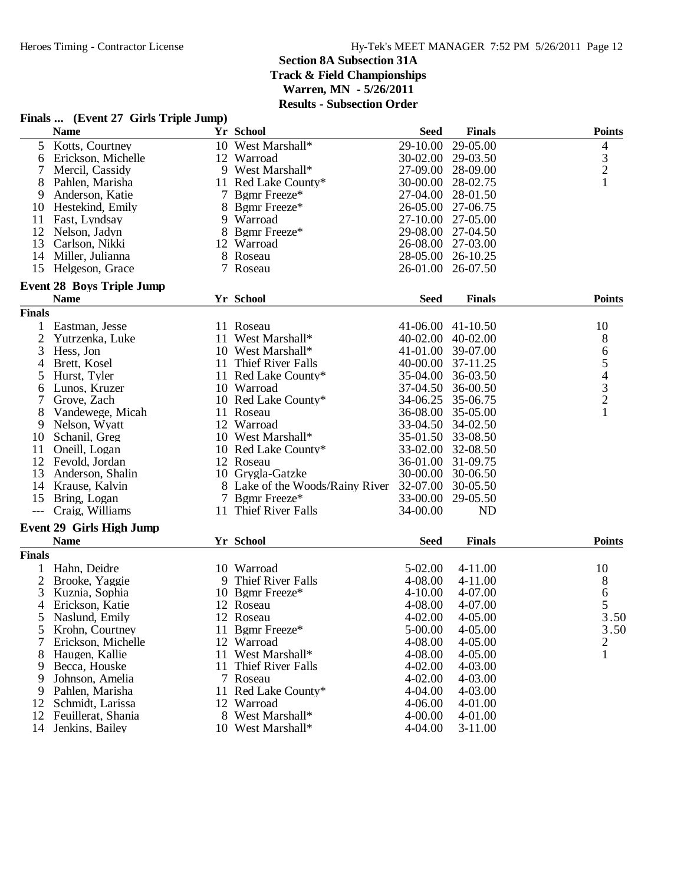| Finals  (Event 27 Girls Triple Jump) |  |  |  |  |
|--------------------------------------|--|--|--|--|
|--------------------------------------|--|--|--|--|

|               | <b>Name</b>                      | Yr School                       | <b>Seed</b>       | <b>Finals</b> | <b>Points</b> |
|---------------|----------------------------------|---------------------------------|-------------------|---------------|---------------|
| 5             | Kotts, Courtney                  | 10 West Marshall*               | 29-10.00          | 29-05.00      | 4             |
| 6             | Erickson, Michelle               | 12 Warroad                      | 30-02.00          | 29-03.50      |               |
| 7             | Mercil, Cassidy                  | 9 West Marshall*                | 27-09.00 28-09.00 |               | $\frac{3}{2}$ |
| 8             | Pahlen, Marisha                  | 11 Red Lake County*             | 30-00.00 28-02.75 |               | $\mathbf{1}$  |
| 9             | Anderson, Katie                  | 7 Bgmr Freeze*                  | 27-04.00          | 28-01.50      |               |
| 10            | Hestekind, Emily                 | 8 Bgmr Freeze*                  | 26-05.00          | 27-06.75      |               |
| 11            | Fast, Lyndsay                    | 9 Warroad                       | 27-10.00 27-05.00 |               |               |
| 12            | Nelson, Jadyn                    | 8 Bgmr Freeze*                  | 29-08.00 27-04.50 |               |               |
| 13            | Carlson, Nikki                   | 12 Warroad                      | 26-08.00 27-03.00 |               |               |
| 14            | Miller, Julianna                 | 8 Roseau                        | 28-05.00 26-10.25 |               |               |
| 15            | Helgeson, Grace                  | 7 Roseau                        | 26-01.00 26-07.50 |               |               |
|               | <b>Event 28 Boys Triple Jump</b> |                                 |                   |               |               |
|               | <b>Name</b>                      | Yr School                       | <b>Seed</b>       | <b>Finals</b> | <b>Points</b> |
| <b>Finals</b> |                                  |                                 |                   |               |               |
| 1             | Eastman, Jesse                   | 11 Roseau                       | 41-06.00 41-10.50 |               | 10            |
| 2             | Yutrzenka, Luke                  | 11 West Marshall*               | 40-02.00 40-02.00 |               | 8             |
| 3             | Hess, Jon                        | 10 West Marshall*               | 41-01.00 39-07.00 |               |               |
| 4             | Brett, Kosel                     | 11 Thief River Falls            | 40-00.00 37-11.25 |               |               |
| 5             | Hurst, Tyler                     | 11 Red Lake County*             | 35-04.00          | 36-03.50      | 65432         |
| 6             | Lunos, Kruzer                    | 10 Warroad                      | 37-04.50          | 36-00.50      |               |
| 7             | Grove, Zach                      | 10 Red Lake County*             | 34-06.25 35-06.75 |               |               |
| 8             | Vandewege, Micah                 | 11 Roseau                       | 36-08.00 35-05.00 |               | $\mathbf{1}$  |
| 9             | Nelson, Wyatt                    | 12 Warroad                      | 33-04.50 34-02.50 |               |               |
| 10            | Schanil, Greg                    | 10 West Marshall*               | 35-01.50 33-08.50 |               |               |
| 11            | Oneill, Logan                    | 10 Red Lake County*             | 33-02.00 32-08.50 |               |               |
| 12            | Fevold, Jordan                   | 12 Roseau                       | 36-01.00 31-09.75 |               |               |
| 13            | Anderson, Shalin                 | 10 Grygla-Gatzke                | 30-00.00 30-06.50 |               |               |
| 14            | Krause, Kalvin                   | 8 Lake of the Woods/Rainy River | 32-07.00 30-05.50 |               |               |
| 15            | Bring, Logan                     | 7 Bgmr Freeze*                  | 33-00.00 29-05.50 |               |               |
| $---$         | Craig, Williams                  | 11 Thief River Falls            | 34-00.00          | ND            |               |
|               | <b>Event 29 Girls High Jump</b>  |                                 |                   |               |               |
|               | <b>Name</b>                      | Yr School                       | <b>Seed</b>       | <b>Finals</b> | <b>Points</b> |
| <b>Finals</b> |                                  |                                 |                   |               |               |
|               | Hahn, Deidre                     | 10 Warroad                      | 5-02.00           | 4-11.00       | 10            |
| 2             | Brooke, Yaggie                   | 9 Thief River Falls             | 4-08.00           | 4-11.00       | 8             |
| 3             | Kuznia, Sophia                   | 10 Bgmr Freeze*                 | $4 - 10.00$       | 4-07.00       | 6             |
| 4             | Erickson, Katie                  | 12 Roseau                       | 4-08.00           | 4-07.00       | 5             |
| 5             | Naslund, Emily                   | 12 Roseau                       | $4 - 02.00$       | 4-05.00       | 3.50          |
| 5             | Krohn, Courtney                  | 11 Bgmr Freeze*                 | 5-00.00           | 4-05.00       | 3.50          |
| 7             | Erickson, Michelle               | 12 Warroad                      | 4-08.00           | 4-05.00       | 2             |
| 8             | Haugen, Kallie                   | 11 West Marshall*               | 4-08.00           | 4-05.00       | $\mathbf{1}$  |
| 9             | Becca, Houske                    | 11 Thief River Falls            | 4-02.00           | 4-03.00       |               |
| 9             | Johnson, Amelia                  | 7 Roseau                        | 4-02.00           | 4-03.00       |               |
| 9             | Pahlen, Marisha                  | 11 Red Lake County*             | 4-04.00           | 4-03.00       |               |
| 12            | Schmidt, Larissa                 | 12 Warroad                      | 4-06.00           | 4-01.00       |               |
| 12            | Feuillerat, Shania               | 8 West Marshall*                | 4-00.00           | 4-01.00       |               |
| 14            | Jenkins, Bailey                  |                                 | 4-04.00           | $3-11.00$     |               |
|               |                                  | 10 West Marshall*               |                   |               |               |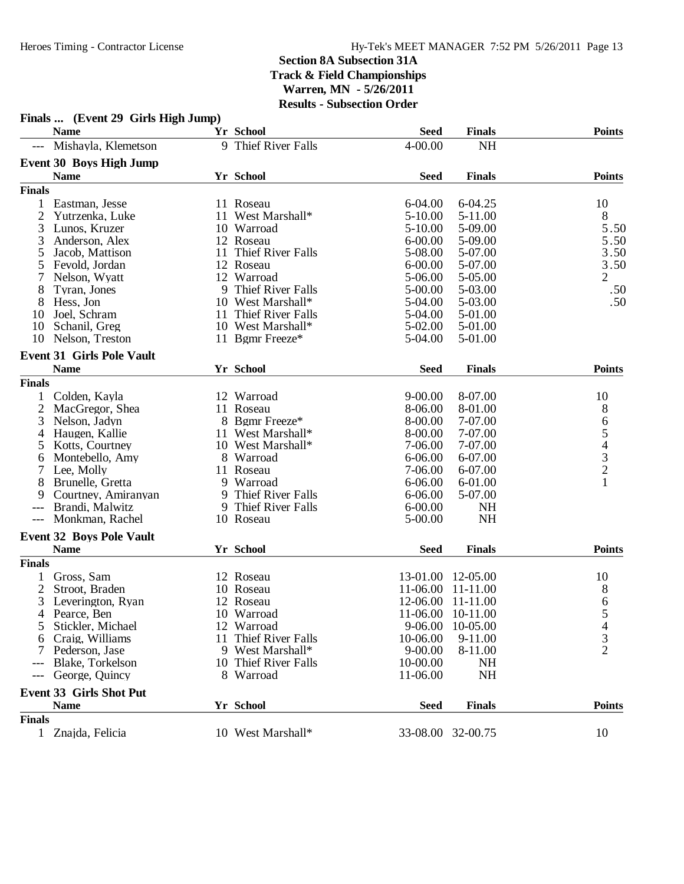|                | Finals  (Event 29 Girls High Jump) |    |                      |             |                   |                |
|----------------|------------------------------------|----|----------------------|-------------|-------------------|----------------|
|                | <b>Name</b>                        |    | Yr School            | <b>Seed</b> | <b>Finals</b>     | <b>Points</b>  |
| $---$          | Mishayla, Klemetson                |    | 9 Thief River Falls  | $4 - 00.00$ | <b>NH</b>         |                |
|                | Event 30 Boys High Jump            |    |                      |             |                   |                |
|                | <b>Name</b>                        |    | Yr School            | <b>Seed</b> | <b>Finals</b>     | <b>Points</b>  |
| <b>Finals</b>  |                                    |    |                      |             |                   |                |
| 1              | Eastman, Jesse                     |    | 11 Roseau            | 6-04.00     | 6-04.25           | 10             |
| $\overline{2}$ | Yutrzenka, Luke                    | 11 | West Marshall*       | $5 - 10.00$ | 5-11.00           | 8              |
| 3              | Lunos, Kruzer                      |    | 10 Warroad           | $5 - 10.00$ | 5-09.00           | 5.50           |
| 3              | Anderson, Alex                     |    | 12 Roseau            | $6 - 00.00$ | 5-09.00           | 5.50           |
| 5              | Jacob, Mattison                    | 11 | Thief River Falls    | 5-08.00     | 5-07.00           | 3.50           |
| 5              | Fevold, Jordan                     |    | 12 Roseau            | $6 - 00.00$ | 5-07.00           | 3.50           |
| 7              | Nelson, Wyatt                      |    | 12 Warroad           | 5-06.00     | 5-05.00           | $\overline{2}$ |
| 8              | Tyran, Jones                       | 9  | Thief River Falls    | $5 - 00.00$ | 5-03.00           | .50            |
| 8              | Hess, Jon                          |    | 10 West Marshall*    | 5-04.00     | 5-03.00           | .50            |
| 10             | Joel, Schram                       | 11 | Thief River Falls    | 5-04.00     | 5-01.00           |                |
| 10             | Schanil, Greg                      |    | 10 West Marshall*    | $5 - 02.00$ | 5-01.00           |                |
| 10             | Nelson, Treston                    |    | 11 Bgmr Freeze*      | 5-04.00     | 5-01.00           |                |
|                |                                    |    |                      |             |                   |                |
|                | <b>Event 31 Girls Pole Vault</b>   |    |                      |             |                   |                |
|                | <b>Name</b>                        |    | Yr School            | <b>Seed</b> | <b>Finals</b>     | <b>Points</b>  |
| <b>Finals</b>  |                                    |    |                      |             |                   |                |
| 1              | Colden, Kayla                      |    | 12 Warroad           | $9 - 00.00$ | 8-07.00           | 10             |
| $\overline{2}$ | MacGregor, Shea                    | 11 | Roseau               | 8-06.00     | 8-01.00           | 8              |
| 3              | Nelson, Jadyn                      |    | 8 Bgmr Freeze*       | 8-00.00     | 7-07.00           |                |
| 4              | Haugen, Kallie                     |    | 11 West Marshall*    | 8-00.00     | 7-07.00           | 65432          |
| 5              | Kotts, Courtney                    |    | 10 West Marshall*    | 7-06.00     | 7-07.00           |                |
| 6              | Montebello, Amy                    |    | 8 Warroad            | $6 - 06.00$ | 6-07.00           |                |
|                | Lee, Molly                         |    | 11 Roseau            | 7-06.00     | 6-07.00           |                |
| 8              | Brunelle, Gretta                   |    | 9 Warroad            | $6 - 06.00$ | 6-01.00           | $\mathbf{1}$   |
| 9              | Courtney, Amiranyan                |    | 9 Thief River Falls  | $6 - 06.00$ | 5-07.00           |                |
| $---$          | Brandi, Malwitz                    |    | 9 Thief River Falls  | $6 - 00.00$ | NH                |                |
| $---$          | Monkman, Rachel                    |    | 10 Roseau            | 5-00.00     | <b>NH</b>         |                |
|                | <b>Event 32 Boys Pole Vault</b>    |    |                      |             |                   |                |
|                | <b>Name</b>                        |    | Yr School            | <b>Seed</b> | <b>Finals</b>     | <b>Points</b>  |
| <b>Finals</b>  |                                    |    |                      |             |                   |                |
|                | Gross, Sam                         |    | 12 Roseau            | 13-01.00    | 12-05.00          | 10             |
| $\overline{2}$ | Stroot, Braden                     |    | 10 Roseau            | 11-06.00    | 11-11.00          | 8              |
| 3              | Leverington, Ryan                  |    | 12 Roseau            |             | 12-06.00 11-11.00 | 6              |
| 4              | Pearce, Ben                        |    | 10 Warroad           | 11-06.00    | 10-11.00          | C              |
| 5              | Stickler, Michael                  |    | 12 Warroad           | 9-06.00     | 10-05.00          | 4              |
| 6              | Craig, Williams                    |    | 11 Thief River Falls | 10-06.00    | 9-11.00           | 3              |
|                | Pederson, Jase                     |    | 9 West Marshall*     | $9 - 00.00$ | 8-11.00           | $\overline{2}$ |
|                | Blake, Torkelson                   |    | 10 Thief River Falls | 10-00.00    | <b>NH</b>         |                |
| ---            | George, Quincy                     |    | 8 Warroad            | 11-06.00    | <b>NH</b>         |                |
|                |                                    |    |                      |             |                   |                |
|                | <b>Event 33 Girls Shot Put</b>     |    |                      |             |                   |                |
|                | <b>Name</b>                        |    | Yr School            | <b>Seed</b> | <b>Finals</b>     | <b>Points</b>  |
| <b>Finals</b>  |                                    |    |                      |             |                   |                |
| $\mathbf{1}$   | Znajda, Felicia                    |    | 10 West Marshall*    |             | 33-08.00 32-00.75 | 10             |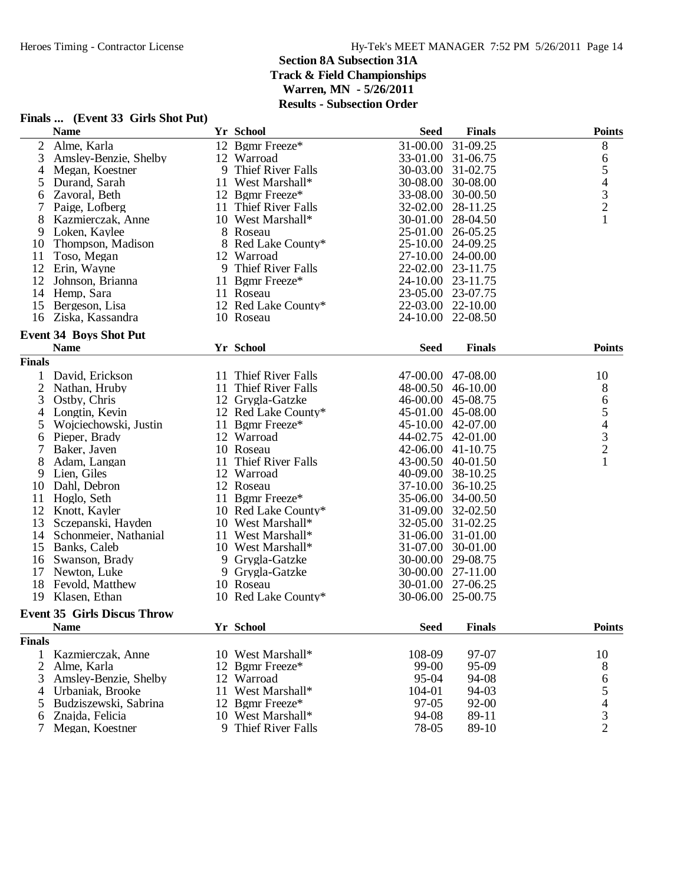**Name Yr School FinalsSeed Points**

#### 2 Alme, Karla 12 Bgmr Freeze\* 31-00.00 31-09.25 8<br>3 Amsley-Benzie, Shelby 12 Warroad 33-01.00 31-06.75 6 3 Amsley-Benzie, Shelby 12 Warroad 33-01.00 31-06.75 6<br>4 Megan, Koestner 9 Thief River Falls 30-03.00 31-02.75 5 4 Megan, Koestner 9 Thief River Falls 30-03.00 31-02.75 5<br>5 Durand, Sarah 11 West Marshall\* 30-08.00 30-08.00 4 5 Durand, Sarah 11 West Marshall\* 30-08.00 30-08.00 4<br>5 Zavoral, Beth 12 Bemr Freeze\* 33-08.00 30-00.50 3 6 Zavoral, Beth 12 Bgmr Freeze\* 33-08.00 30-00.50 3 7 Paige, Lofberg 11 Thief River Falls 32-02.00 28-11.25 2<br>
8 Kazmierczak, Anne 10 West Marshall\* 30-01.00 28-04.50 1 8 Kazmierczak, Anne 10 West M<br>9 Loken. Kavlee 28 Roseau 8 Roseau 25-01.00 26-05.25<br>8 Red Lake County\* 25-10.00 24-09.25 10 Thompson, Madison 8 Red Lake<br>11 Toso, Megan 12 Warroad 11 Toso, Megan 12 Warroad 27-10.00 24-00.00<br>12 Erin. Wavne 9 Thief River Falls 22-02.00 23-11.75 9 Thief River Falls 22-02.00 23-11.75<br>11 Bgmr Freeze\* 24-10.00 23-11.75 12 Johnson, Brianna 11 Bgmr F<br>14 Hemp, Sara 11 Roseau 14 Hemp, Sara 11 Roseau 11 23-05.00 23-07.75<br>15 Bergeson, Lisa 12 Red Lake County\* 22-03.00 22-10.00 15 Bergeson, Lisa 12 Red Lake County\*<br>16 Ziska, Kassandra 10 Roseau 24 - 10.00 22 - 08.50 **Event 34 Boys Shot Put Name Yr School FinalsSeed Points Finals** 1 David, Erickson 11 Thief River Falls 47-00.00 47-08.00 10<br>2 Nathan, Hruby 11 Thief River Falls 48-00.50 46-10.00 8 2 Nathan, Hruby 11 Thief River Falls 48-00.50 46-10.00 8<br>3 Ostby, Chris 12 Grygla-Gatzke 46-00.00 45-08.75 6 3 Ostby, Chris 12 Grygla-Gatzke 46-00.00 45-08.75 6 4 Longtin, Kevin 12 Red Lake County\* 45-01.00 45-08.00 5<br>5 Wojciechowski, Justin 11 Bgmr Freeze\* 45-10.00 42-07.00 4 5 Wojciechowski, Justin 11 Bgmr Freeze\* 45-10.00 42-07.00 4<br>6 Pieper, Brady 12 Warroad 44-02.75 42-01.00 3 6 Pieper, Brady 12 Warroad 12 and 44-02.75 42-01.00 3<br>
10 Roseau 10 Acoust 12 3 3 42-06.00 41-10.75 2 7 Baker, Javen 10 Roseau 42-06.00 41-10.75 2<br>8 Adam, Langan 11 Thief River Falls 43-00.50 40-01.50 1 8 Adam, Langan 11 Thief River Falls<br>
9 Lien, Giles 12 Warroad 9 Lien, Giles 12 Warroad 40-09.00 38-10.25<br>10 Dahl, Debron 12 Roseau 37-10.00 36-10.25 10 Dahl, Debron 12 Roseau 37-10.00 36-10.25<br>11 Hoglo, Seth 11 Bgmr Freeze\* 35-06.00 34-00.50 11 Hoglo, Seth 11 Bgmr Freeze\* 35-06.00 34-00.50<br>12 Knott, Kayler 10 Red Lake County\* 31-09.00 32-02.50 10 Red Lake County\* 31-09.00 32-02.50<br>10 West Marshall\* 32-05.00 31-02.25 13 Sczepanski, Hayden 10 West Marshall\* 32-05.00 31-02.25<br>14 Schonmeier, Nathanial 11 West Marshall\* 31-06.00 31-01.00 14 Schonmeier, Nathanial 11 West Marshall\* 31-06.00 31-01.00<br>15 Banks, Caleb 10 West Marshall\* 31-07.00 30-01.00 15 Banks, Caleb 10 West Marshall\* 31-07.00 30-01.00<br>16 Swanson, Brady 9 Grygla-Gatzke 30-00.00 29-08.75 16 Swanson, Brady 9 Grygla-Gatzke 317 Newton, Luke 39 Grygla-Gatzke 17 Newton, Luke 9 Grygla-Gatzke 30-00.00 27-11.00<br>18 Fevold, Matthew 10 Roseau 30-01.00 27-06.25 18 Fevold, Matthew 10 Roseau 30-01.00 27-06.25<br>19 Klasen, Ethan 10 Red Lake County\* 30-06.00 25-00.75 10 Red Lake County\* **Event 35 Girls Discus Throw Name Yr School FinalsSeed Points Finals** 1 Kazmierczak, Anne 10 West Marshall\* 108-09 97-07 10 2 Alme, Karla 12 Bgmr Freeze\* 99-00 95-09 8<br>3 Amsley-Benzie, Shelby 12 Warroad 95-04 94-08 6 3 Amsley-Benzie, Shelby 12 Warroad 195-04 94-08 6<br>4 Urbaniak, Brooke 11 West Marshall\* 104-01 94-03 5 4 Urbaniak, Brooke 11 West Marshall\* 104-01 94-03 5<br>5 Budziszewski, Sabrina 12 Bgmr Freeze\* 97-05 92-00 4 5 Budziszewski, Sabrina 12 Bgmr Freeze\* 97-05 92-00 4 6 Znajda, Felicia 10 West Marshall\* 94-08 89-11 3 7 Megan, Koestner 9 Thief River Falls 78-05 89-10

#### **Finals ... (Event 33 Girls Shot Put)**